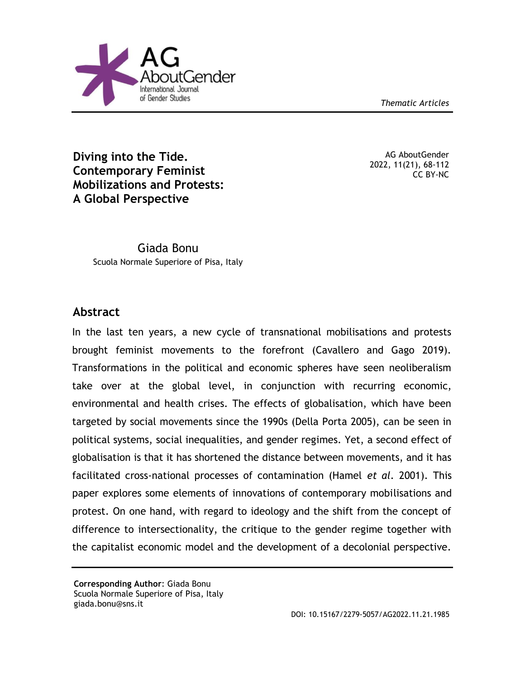*Thematic Articles*



**Diving into the Tide. Contemporary Feminist Mobilizations and Protests: A Global Perspective**

AG AboutGender 2022, 11(21), 68-112 CC BY-NC

Giada Bonu Scuola Normale Superiore of Pisa, Italy

# **Abstract**

In the last ten years, a new cycle of transnational mobilisations and protests brought feminist movements to the forefront (Cavallero and Gago 2019). Transformations in the political and economic spheres have seen neoliberalism take over at the global level, in conjunction with recurring economic, environmental and health crises. The effects of globalisation, which have been targeted by social movements since the 1990s (Della Porta 2005), can be seen in political systems, social inequalities, and gender regimes. Yet, a second effect of globalisation is that it has shortened the distance between movements, and it has facilitated cross-national processes of contamination (Hamel *et al*. 2001). This paper explores some elements of innovations of contemporary mobilisations and protest. On one hand, with regard to ideology and the shift from the concept of difference to intersectionality, the critique to the gender regime together with the capitalist economic model and the development of a decolonial perspective.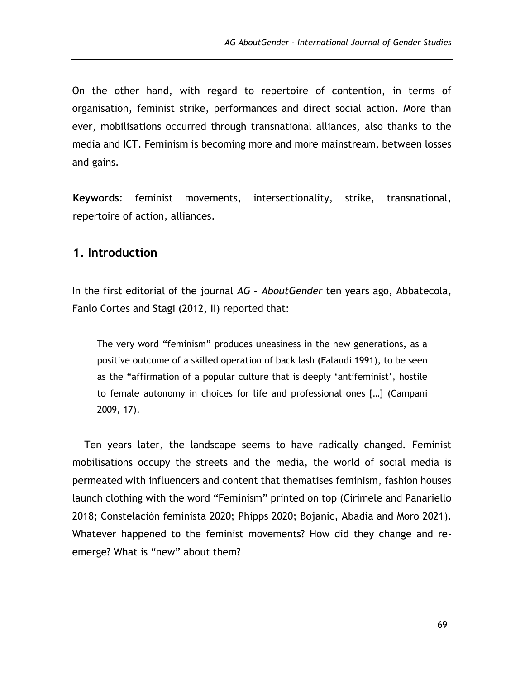On the other hand, with regard to repertoire of contention, in terms of organisation, feminist strike, performances and direct social action. More than ever, mobilisations occurred through transnational alliances, also thanks to the media and ICT. Feminism is becoming more and more mainstream, between losses and gains.

**Keywords**: feminist movements, intersectionality, strike, transnational, repertoire of action, alliances.

## **1. Introduction**

In the first editorial of the journal *AG – AboutGender* ten years ago, Abbatecola, Fanlo Cortes and Stagi (2012, II) reported that:

The very word "feminism" produces uneasiness in the new generations, as a positive outcome of a skilled operation of back lash (Falaudi 1991), to be seen as the "affirmation of a popular culture that is deeply 'antifeminist', hostile to female autonomy in choices for life and professional ones […] (Campani 2009, 17).

Ten years later, the landscape seems to have radically changed. Feminist mobilisations occupy the streets and the media, the world of social media is permeated with influencers and content that thematises feminism, fashion houses launch clothing with the word "Feminism" printed on top (Cirimele and Panariello 2018; Constelaciòn feminista 2020; Phipps 2020; Bojanic, Abadìa and Moro 2021). Whatever happened to the feminist movements? How did they change and reemerge? What is "new" about them?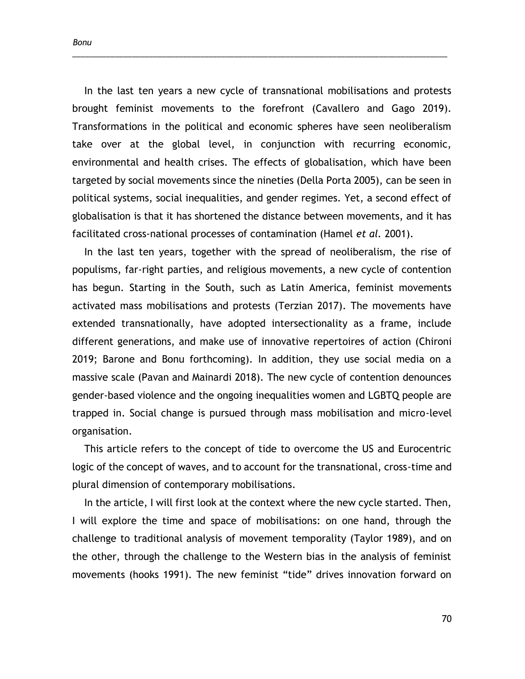*Bonu*

In the last ten years a new cycle of transnational mobilisations and protests brought feminist movements to the forefront (Cavallero and Gago 2019). Transformations in the political and economic spheres have seen neoliberalism take over at the global level, in conjunction with recurring economic, environmental and health crises. The effects of globalisation, which have been targeted by social movements since the nineties (Della Porta 2005), can be seen in political systems, social inequalities, and gender regimes. Yet, a second effect of globalisation is that it has shortened the distance between movements, and it has facilitated cross-national processes of contamination (Hamel *et al.* 2001).

\_\_\_\_\_\_\_\_\_\_\_\_\_\_\_\_\_\_\_\_\_\_\_\_\_\_\_\_\_\_\_\_\_\_\_\_\_\_\_\_\_\_\_\_\_\_\_\_\_\_\_\_\_\_\_\_\_\_\_\_\_\_\_\_\_\_\_\_\_\_\_\_\_\_\_\_\_\_\_\_\_\_\_\_\_\_\_\_

In the last ten years, together with the spread of neoliberalism, the rise of populisms, far-right parties, and religious movements, a new cycle of contention has begun. Starting in the South, such as Latin America, feminist movements activated mass mobilisations and protests (Terzian 2017). The movements have extended transnationally, have adopted intersectionality as a frame, include different generations, and make use of innovative repertoires of action (Chironi 2019; Barone and Bonu forthcoming). In addition, they use social media on a massive scale (Pavan and Mainardi 2018). The new cycle of contention denounces gender-based violence and the ongoing inequalities women and LGBTQ people are trapped in. Social change is pursued through mass mobilisation and micro-level organisation.

This article refers to the concept of tide to overcome the US and Eurocentric logic of the concept of waves, and to account for the transnational, cross-time and plural dimension of contemporary mobilisations.

In the article, I will first look at the context where the new cycle started. Then, I will explore the time and space of mobilisations: on one hand, through the challenge to traditional analysis of movement temporality (Taylor 1989), and on the other, through the challenge to the Western bias in the analysis of feminist movements (hooks 1991). The new feminist "tide" drives innovation forward on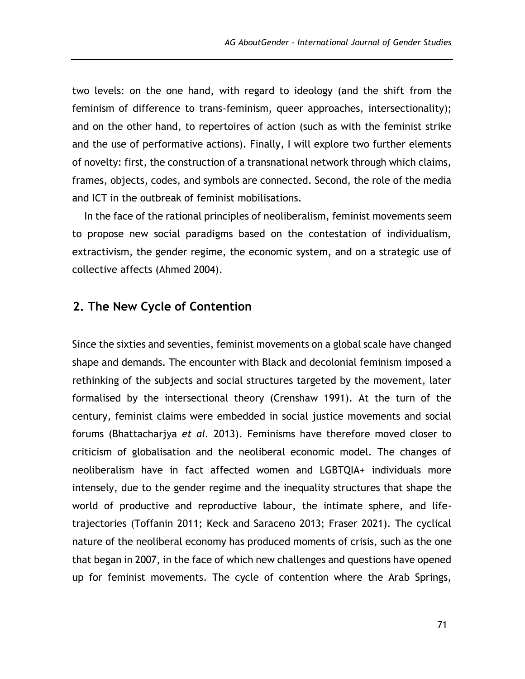two levels: on the one hand, with regard to ideology (and the shift from the feminism of difference to trans-feminism, queer approaches, intersectionality); and on the other hand, to repertoires of action (such as with the feminist strike and the use of performative actions). Finally, I will explore two further elements of novelty: first, the construction of a transnational network through which claims, frames, objects, codes, and symbols are connected. Second, the role of the media and ICT in the outbreak of feminist mobilisations.

In the face of the rational principles of neoliberalism, feminist movements seem to propose new social paradigms based on the contestation of individualism, extractivism, the gender regime, the economic system, and on a strategic use of collective affects (Ahmed 2004).

# **2. The New Cycle of Contention**

Since the sixties and seventies, feminist movements on a global scale have changed shape and demands. The encounter with Black and decolonial feminism imposed a rethinking of the subjects and social structures targeted by the movement, later formalised by the intersectional theory (Crenshaw 1991). At the turn of the century, feminist claims were embedded in social justice movements and social forums (Bhattacharjya *et al.* 2013). Feminisms have therefore moved closer to criticism of globalisation and the neoliberal economic model. The changes of neoliberalism have in fact affected women and LGBTQIA+ individuals more intensely, due to the gender regime and the inequality structures that shape the world of productive and reproductive labour, the intimate sphere, and lifetrajectories (Toffanin 2011; Keck and Saraceno 2013; Fraser 2021). The cyclical nature of the neoliberal economy has produced moments of crisis, such as the one that began in 2007, in the face of which new challenges and questions have opened up for feminist movements. The cycle of contention where the Arab Springs,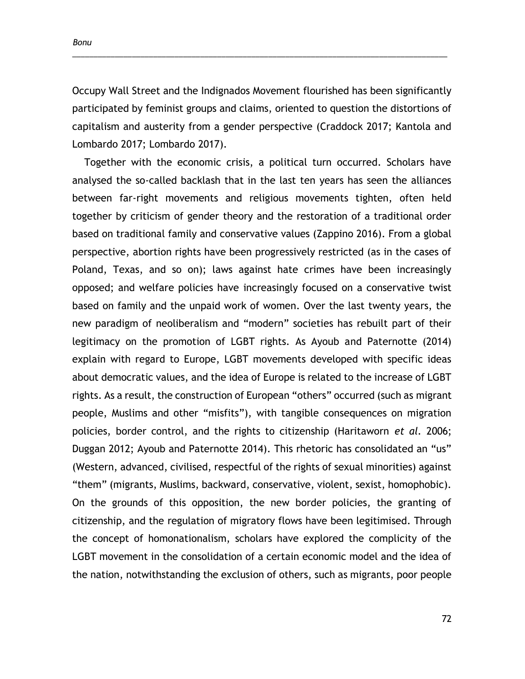*Bonu*

Occupy Wall Street and the Indignados Movement flourished has been significantly participated by feminist groups and claims, oriented to question the distortions of capitalism and austerity from a gender perspective (Craddock 2017; Kantola and Lombardo 2017; Lombardo 2017).

\_\_\_\_\_\_\_\_\_\_\_\_\_\_\_\_\_\_\_\_\_\_\_\_\_\_\_\_\_\_\_\_\_\_\_\_\_\_\_\_\_\_\_\_\_\_\_\_\_\_\_\_\_\_\_\_\_\_\_\_\_\_\_\_\_\_\_\_\_\_\_\_\_\_\_\_\_\_\_\_\_\_\_\_\_\_\_\_

Together with the economic crisis, a political turn occurred. Scholars have analysed the so-called backlash that in the last ten years has seen the alliances between far-right movements and religious movements tighten, often held together by criticism of gender theory and the restoration of a traditional order based on traditional family and conservative values (Zappino 2016). From a global perspective, abortion rights have been progressively restricted (as in the cases of Poland, Texas, and so on); laws against hate crimes have been increasingly opposed; and welfare policies have increasingly focused on a conservative twist based on family and the unpaid work of women. Over the last twenty years, the new paradigm of neoliberalism and "modern" societies has rebuilt part of their legitimacy on the promotion of LGBT rights. As Ayoub and Paternotte (2014) explain with regard to Europe, LGBT movements developed with specific ideas about democratic values, and the idea of Europe is related to the increase of LGBT rights. As a result, the construction of European "others" occurred (such as migrant people, Muslims and other "misfits"), with tangible consequences on migration policies, border control, and the rights to citizenship (Haritaworn *et al.* 2006; Duggan 2012; Ayoub and Paternotte 2014). This rhetoric has consolidated an "us" (Western, advanced, civilised, respectful of the rights of sexual minorities) against "them" (migrants, Muslims, backward, conservative, violent, sexist, homophobic). On the grounds of this opposition, the new border policies, the granting of citizenship, and the regulation of migratory flows have been legitimised. Through the concept of homonationalism, scholars have explored the complicity of the LGBT movement in the consolidation of a certain economic model and the idea of the nation, notwithstanding the exclusion of others, such as migrants, poor people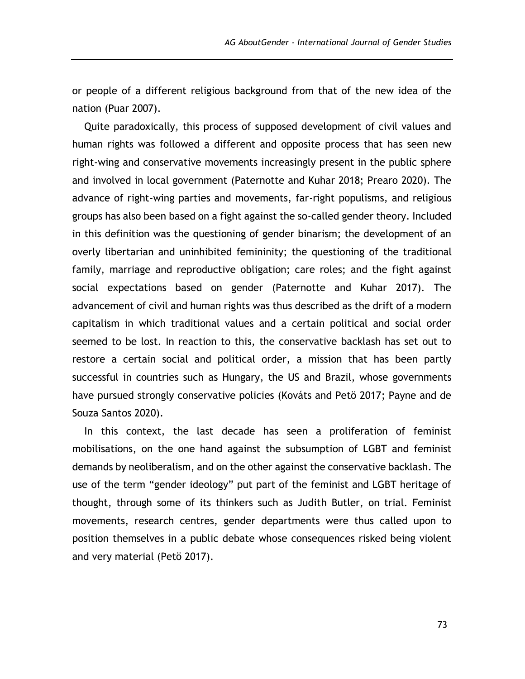or people of a different religious background from that of the new idea of the nation (Puar 2007).

Quite paradoxically, this process of supposed development of civil values and human rights was followed a different and opposite process that has seen new right-wing and conservative movements increasingly present in the public sphere and involved in local government (Paternotte and Kuhar 2018; Prearo 2020). The advance of right-wing parties and movements, far-right populisms, and religious groups has also been based on a fight against the so-called gender theory. Included in this definition was the questioning of gender binarism; the development of an overly libertarian and uninhibited femininity; the questioning of the traditional family, marriage and reproductive obligation; care roles; and the fight against social expectations based on gender (Paternotte and Kuhar 2017). The advancement of civil and human rights was thus described as the drift of a modern capitalism in which traditional values and a certain political and social order seemed to be lost. In reaction to this, the conservative backlash has set out to restore a certain social and political order, a mission that has been partly successful in countries such as Hungary, the US and Brazil, whose governments have pursued strongly conservative policies (Kováts and Petö 2017; Payne and de Souza Santos 2020).

In this context, the last decade has seen a proliferation of feminist mobilisations, on the one hand against the subsumption of LGBT and feminist demands by neoliberalism, and on the other against the conservative backlash. The use of the term "gender ideology" put part of the feminist and LGBT heritage of thought, through some of its thinkers such as Judith Butler, on trial. Feminist movements, research centres, gender departments were thus called upon to position themselves in a public debate whose consequences risked being violent and very material (Petö 2017).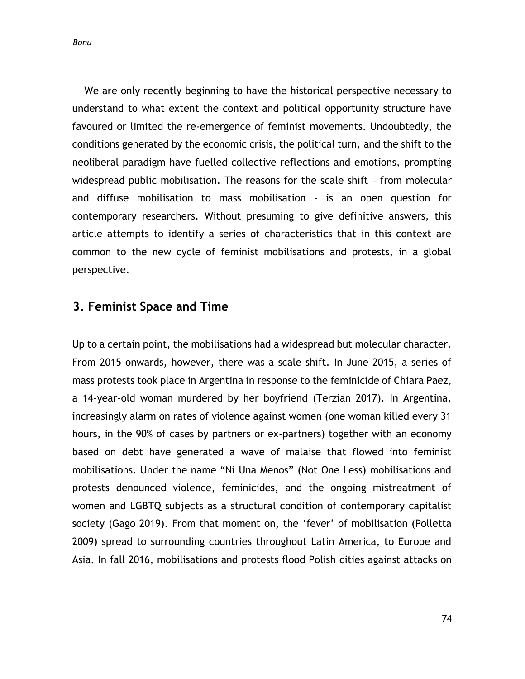We are only recently beginning to have the historical perspective necessary to understand to what extent the context and political opportunity structure have favoured or limited the re-emergence of feminist movements. Undoubtedly, the conditions generated by the economic crisis, the political turn, and the shift to the neoliberal paradigm have fuelled collective reflections and emotions, prompting widespread public mobilisation. The reasons for the scale shift – from molecular and diffuse mobilisation to mass mobilisation – is an open question for contemporary researchers. Without presuming to give definitive answers, this article attempts to identify a series of characteristics that in this context are common to the new cycle of feminist mobilisations and protests, in a global perspective.

\_\_\_\_\_\_\_\_\_\_\_\_\_\_\_\_\_\_\_\_\_\_\_\_\_\_\_\_\_\_\_\_\_\_\_\_\_\_\_\_\_\_\_\_\_\_\_\_\_\_\_\_\_\_\_\_\_\_\_\_\_\_\_\_\_\_\_\_\_\_\_\_\_\_\_\_\_\_\_\_\_\_\_\_\_\_\_\_

## **3. Feminist Space and Time**

Up to a certain point, the mobilisations had a widespread but molecular character. From 2015 onwards, however, there was a scale shift. In June 2015, a series of mass protests took place in Argentina in response to the feminicide of Chiara Paez, a 14-year-old woman murdered by her boyfriend (Terzian 2017). In Argentina, increasingly alarm on rates of violence against women (one woman killed every 31 hours, in the 90% of cases by partners or ex-partners) together with an economy based on debt have generated a wave of malaise that flowed into feminist mobilisations. Under the name "Ni Una Menos" (Not One Less) mobilisations and protests denounced violence, feminicides, and the ongoing mistreatment of women and LGBTQ subjects as a structural condition of contemporary capitalist society (Gago 2019). From that moment on, the 'fever' of mobilisation (Polletta 2009) spread to surrounding countries throughout Latin America, to Europe and Asia. In fall 2016, mobilisations and protests flood Polish cities against attacks on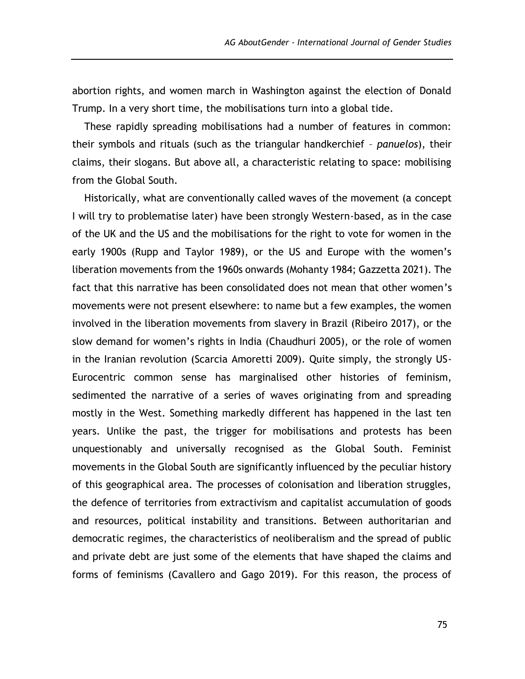abortion rights, and women march in Washington against the election of Donald Trump. In a very short time, the mobilisations turn into a global tide.

These rapidly spreading mobilisations had a number of features in common: their symbols and rituals (such as the triangular handkerchief – *panuelos*), their claims, their slogans. But above all, a characteristic relating to space: mobilising from the Global South.

Historically, what are conventionally called waves of the movement (a concept I will try to problematise later) have been strongly Western-based, as in the case of the UK and the US and the mobilisations for the right to vote for women in the early 1900s (Rupp and Taylor 1989), or the US and Europe with the women's liberation movements from the 1960s onwards (Mohanty 1984; Gazzetta 2021). The fact that this narrative has been consolidated does not mean that other women's movements were not present elsewhere: to name but a few examples, the women involved in the liberation movements from slavery in Brazil (Ribeiro 2017), or the slow demand for women's rights in India (Chaudhuri 2005), or the role of women in the Iranian revolution (Scarcia Amoretti 2009). Quite simply, the strongly US-Eurocentric common sense has marginalised other histories of feminism, sedimented the narrative of a series of waves originating from and spreading mostly in the West. Something markedly different has happened in the last ten years. Unlike the past, the trigger for mobilisations and protests has been unquestionably and universally recognised as the Global South. Feminist movements in the Global South are significantly influenced by the peculiar history of this geographical area. The processes of colonisation and liberation struggles, the defence of territories from extractivism and capitalist accumulation of goods and resources, political instability and transitions. Between authoritarian and democratic regimes, the characteristics of neoliberalism and the spread of public and private debt are just some of the elements that have shaped the claims and forms of feminisms (Cavallero and Gago 2019). For this reason, the process of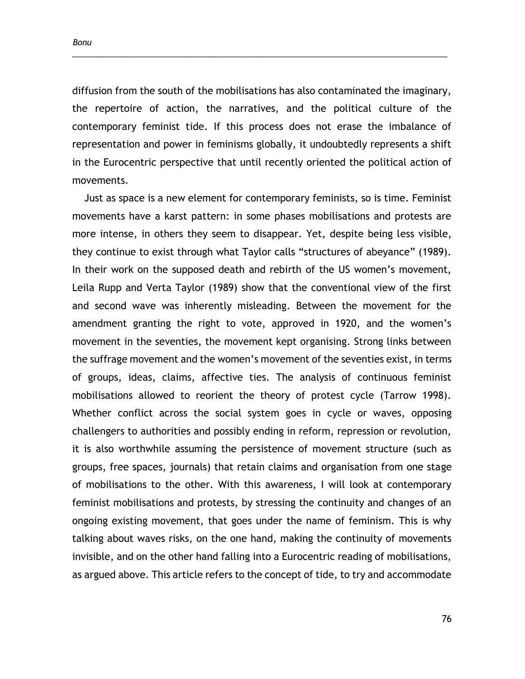*Bonu*

diffusion from the south of the mobilisations has also contaminated the imaginary, the repertoire of action, the narratives, and the political culture of the contemporary feminist tide. If this process does not erase the imbalance of representation and power in feminisms globally, it undoubtedly represents a shift in the Eurocentric perspective that until recently oriented the political action of movements.

\_\_\_\_\_\_\_\_\_\_\_\_\_\_\_\_\_\_\_\_\_\_\_\_\_\_\_\_\_\_\_\_\_\_\_\_\_\_\_\_\_\_\_\_\_\_\_\_\_\_\_\_\_\_\_\_\_\_\_\_\_\_\_\_\_\_\_\_\_\_\_\_\_\_\_\_\_\_\_\_\_\_\_\_\_\_\_\_

Just as space is a new element for contemporary feminists, so is time. Feminist movements have a karst pattern: in some phases mobilisations and protests are more intense, in others they seem to disappear. Yet, despite being less visible, they continue to exist through what Taylor calls "structures of abeyance" (1989). In their work on the supposed death and rebirth of the US women's movement, Leila Rupp and Verta Taylor (1989) show that the conventional view of the first and second wave was inherently misleading. Between the movement for the amendment granting the right to vote, approved in 1920, and the women's movement in the seventies, the movement kept organising. Strong links between the suffrage movement and the women's movement of the seventies exist, in terms of groups, ideas, claims, affective ties. The analysis of continuous feminist mobilisations allowed to reorient the theory of protest cycle (Tarrow 1998). Whether conflict across the social system goes in cycle or waves, opposing challengers to authorities and possibly ending in reform, repression or revolution, it is also worthwhile assuming the persistence of movement structure (such as groups, free spaces, journals) that retain claims and organisation from one stage of mobilisations to the other. With this awareness, I will look at contemporary feminist mobilisations and protests, by stressing the continuity and changes of an ongoing existing movement, that goes under the name of feminism. This is why talking about waves risks, on the one hand, making the continuity of movements invisible, and on the other hand falling into a Eurocentric reading of mobilisations, as argued above. This article refers to the concept of tide, to try and accommodate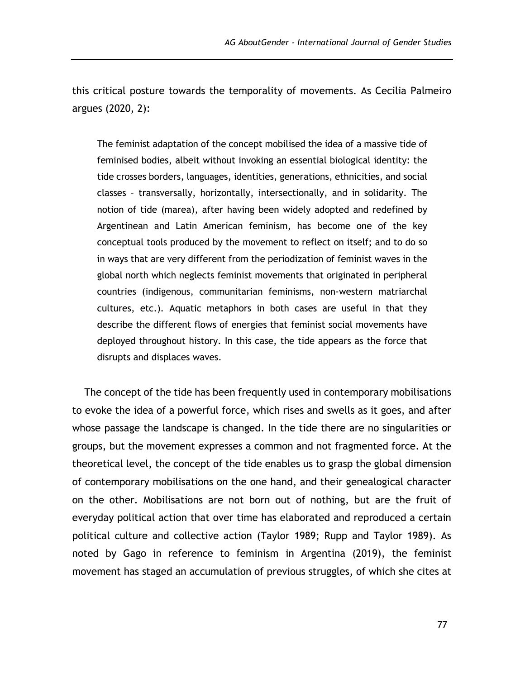this critical posture towards the temporality of movements. As Cecilia Palmeiro argues (2020, 2):

The feminist adaptation of the concept mobilised the idea of a massive tide of feminised bodies, albeit without invoking an essential biological identity: the tide crosses borders, languages, identities, generations, ethnicities, and social classes – transversally, horizontally, intersectionally, and in solidarity. The notion of tide (marea), after having been widely adopted and redefined by Argentinean and Latin American feminism, has become one of the key conceptual tools produced by the movement to reflect on itself; and to do so in ways that are very different from the periodization of feminist waves in the global north which neglects feminist movements that originated in peripheral countries (indigenous, communitarian feminisms, non-western matriarchal cultures, etc.). Aquatic metaphors in both cases are useful in that they describe the different flows of energies that feminist social movements have deployed throughout history. In this case, the tide appears as the force that disrupts and displaces waves.

The concept of the tide has been frequently used in contemporary mobilisations to evoke the idea of a powerful force, which rises and swells as it goes, and after whose passage the landscape is changed. In the tide there are no singularities or groups, but the movement expresses a common and not fragmented force. At the theoretical level, the concept of the tide enables us to grasp the global dimension of contemporary mobilisations on the one hand, and their genealogical character on the other. Mobilisations are not born out of nothing, but are the fruit of everyday political action that over time has elaborated and reproduced a certain political culture and collective action (Taylor 1989; Rupp and Taylor 1989). As noted by Gago in reference to feminism in Argentina (2019), the feminist movement has staged an accumulation of previous struggles, of which she cites at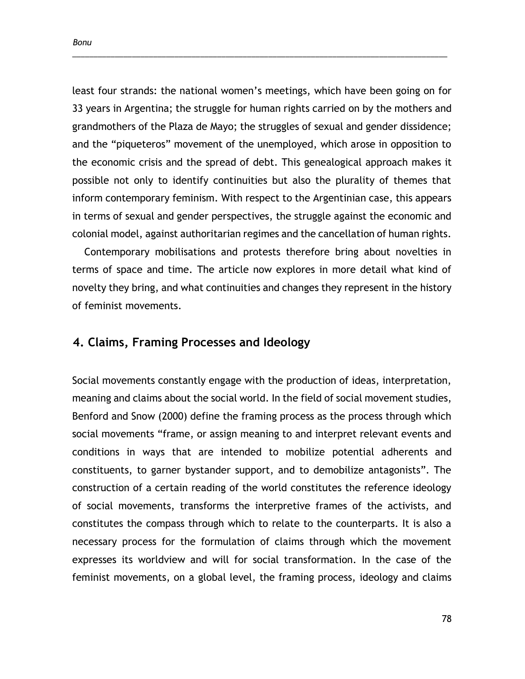least four strands: the national women's meetings, which have been going on for 33 years in Argentina; the struggle for human rights carried on by the mothers and grandmothers of the Plaza de Mayo; the struggles of sexual and gender dissidence; and the "piqueteros" movement of the unemployed, which arose in opposition to the economic crisis and the spread of debt. This genealogical approach makes it possible not only to identify continuities but also the plurality of themes that inform contemporary feminism. With respect to the Argentinian case, this appears in terms of sexual and gender perspectives, the struggle against the economic and colonial model, against authoritarian regimes and the cancellation of human rights.

\_\_\_\_\_\_\_\_\_\_\_\_\_\_\_\_\_\_\_\_\_\_\_\_\_\_\_\_\_\_\_\_\_\_\_\_\_\_\_\_\_\_\_\_\_\_\_\_\_\_\_\_\_\_\_\_\_\_\_\_\_\_\_\_\_\_\_\_\_\_\_\_\_\_\_\_\_\_\_\_\_\_\_\_\_\_\_\_

Contemporary mobilisations and protests therefore bring about novelties in terms of space and time. The article now explores in more detail what kind of novelty they bring, and what continuities and changes they represent in the history of feminist movements.

# **4. Claims, Framing Processes and Ideology**

Social movements constantly engage with the production of ideas, interpretation, meaning and claims about the social world. In the field of social movement studies, Benford and Snow (2000) define the framing process as the process through which social movements "frame, or assign meaning to and interpret relevant events and conditions in ways that are intended to mobilize potential adherents and constituents, to garner bystander support, and to demobilize antagonists". The construction of a certain reading of the world constitutes the reference ideology of social movements, transforms the interpretive frames of the activists, and constitutes the compass through which to relate to the counterparts. It is also a necessary process for the formulation of claims through which the movement expresses its worldview and will for social transformation. In the case of the feminist movements, on a global level, the framing process, ideology and claims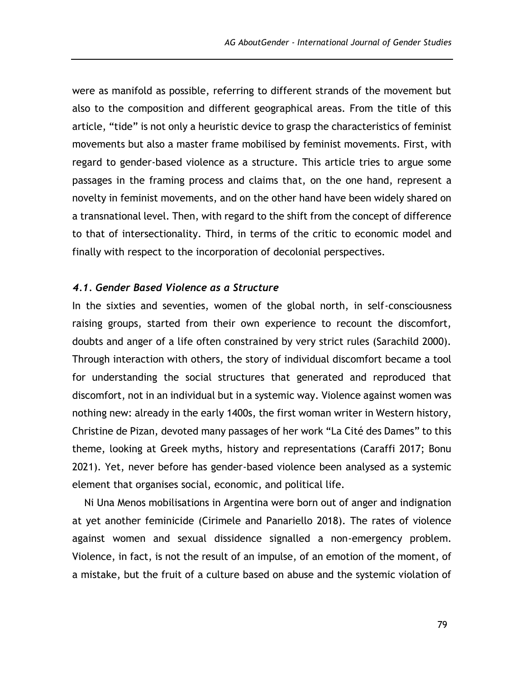were as manifold as possible, referring to different strands of the movement but also to the composition and different geographical areas. From the title of this article, "tide" is not only a heuristic device to grasp the characteristics of feminist movements but also a master frame mobilised by feminist movements. First, with regard to gender-based violence as a structure. This article tries to argue some passages in the framing process and claims that, on the one hand, represent a novelty in feminist movements, and on the other hand have been widely shared on a transnational level. Then, with regard to the shift from the concept of difference to that of intersectionality. Third, in terms of the critic to economic model and finally with respect to the incorporation of decolonial perspectives.

### *4.1. Gender Based Violence as a Structure*

In the sixties and seventies, women of the global north, in self-consciousness raising groups, started from their own experience to recount the discomfort, doubts and anger of a life often constrained by very strict rules (Sarachild 2000). Through interaction with others, the story of individual discomfort became a tool for understanding the social structures that generated and reproduced that discomfort, not in an individual but in a systemic way. Violence against women was nothing new: already in the early 1400s, the first woman writer in Western history, Christine de Pizan, devoted many passages of her work "La Cité des Dames" to this theme, looking at Greek myths, history and representations (Caraffi 2017; Bonu 2021). Yet, never before has gender-based violence been analysed as a systemic element that organises social, economic, and political life.

Ni Una Menos mobilisations in Argentina were born out of anger and indignation at yet another feminicide (Cirimele and Panariello 2018). The rates of violence against women and sexual dissidence signalled a non-emergency problem. Violence, in fact, is not the result of an impulse, of an emotion of the moment, of a mistake, but the fruit of a culture based on abuse and the systemic violation of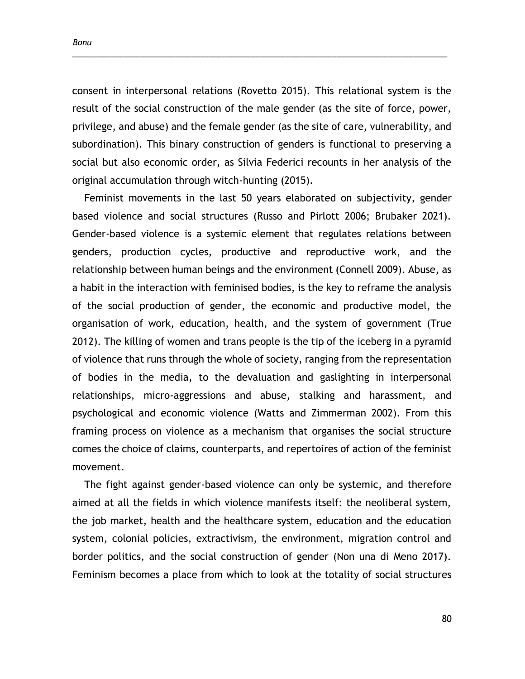*Bonu*

consent in interpersonal relations (Rovetto 2015). This relational system is the result of the social construction of the male gender (as the site of force, power, privilege, and abuse) and the female gender (as the site of care, vulnerability, and subordination). This binary construction of genders is functional to preserving a social but also economic order, as Silvia Federici recounts in her analysis of the original accumulation through witch-hunting (2015).

\_\_\_\_\_\_\_\_\_\_\_\_\_\_\_\_\_\_\_\_\_\_\_\_\_\_\_\_\_\_\_\_\_\_\_\_\_\_\_\_\_\_\_\_\_\_\_\_\_\_\_\_\_\_\_\_\_\_\_\_\_\_\_\_\_\_\_\_\_\_\_\_\_\_\_\_\_\_\_\_\_\_\_\_\_\_\_\_

Feminist movements in the last 50 years elaborated on subjectivity, gender based violence and social structures (Russo and Pirlott 2006; Brubaker 2021). Gender-based violence is a systemic element that regulates relations between genders, production cycles, productive and reproductive work, and the relationship between human beings and the environment (Connell 2009). Abuse, as a habit in the interaction with feminised bodies, is the key to reframe the analysis of the social production of gender, the economic and productive model, the organisation of work, education, health, and the system of government (True 2012). The killing of women and trans people is the tip of the iceberg in a pyramid of violence that runs through the whole of society, ranging from the representation of bodies in the media, to the devaluation and gaslighting in interpersonal relationships, micro-aggressions and abuse, stalking and harassment, and psychological and economic violence (Watts and Zimmerman 2002). From this framing process on violence as a mechanism that organises the social structure comes the choice of claims, counterparts, and repertoires of action of the feminist movement.

The fight against gender-based violence can only be systemic, and therefore aimed at all the fields in which violence manifests itself: the neoliberal system, the job market, health and the healthcare system, education and the education system, colonial policies, extractivism, the environment, migration control and border politics, and the social construction of gender (Non una di Meno 2017). Feminism becomes a place from which to look at the totality of social structures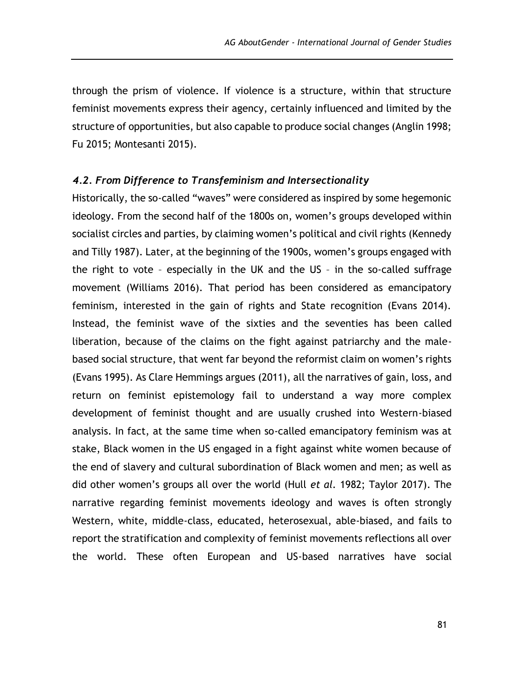through the prism of violence. If violence is a structure, within that structure feminist movements express their agency, certainly influenced and limited by the structure of opportunities, but also capable to produce social changes (Anglin 1998; Fu 2015; Montesanti 2015).

## *4.2. From Difference to Transfeminism and Intersectionality*

Historically, the so-called "waves" were considered as inspired by some hegemonic ideology. From the second half of the 1800s on, women's groups developed within socialist circles and parties, by claiming women's political and civil rights (Kennedy and Tilly 1987). Later, at the beginning of the 1900s, women's groups engaged with the right to vote – especially in the UK and the US – in the so-called suffrage movement (Williams 2016). That period has been considered as emancipatory feminism, interested in the gain of rights and State recognition (Evans 2014). Instead, the feminist wave of the sixties and the seventies has been called liberation, because of the claims on the fight against patriarchy and the malebased social structure, that went far beyond the reformist claim on women's rights (Evans 1995). As Clare Hemmings argues (2011), all the narratives of gain, loss, and return on feminist epistemology fail to understand a way more complex development of feminist thought and are usually crushed into Western-biased analysis. In fact, at the same time when so-called emancipatory feminism was at stake, Black women in the US engaged in a fight against white women because of the end of slavery and cultural subordination of Black women and men; as well as did other women's groups all over the world (Hull *et al.* 1982; Taylor 2017). The narrative regarding feminist movements ideology and waves is often strongly Western, white, middle-class, educated, heterosexual, able-biased, and fails to report the stratification and complexity of feminist movements reflections all over the world. These often European and US-based narratives have social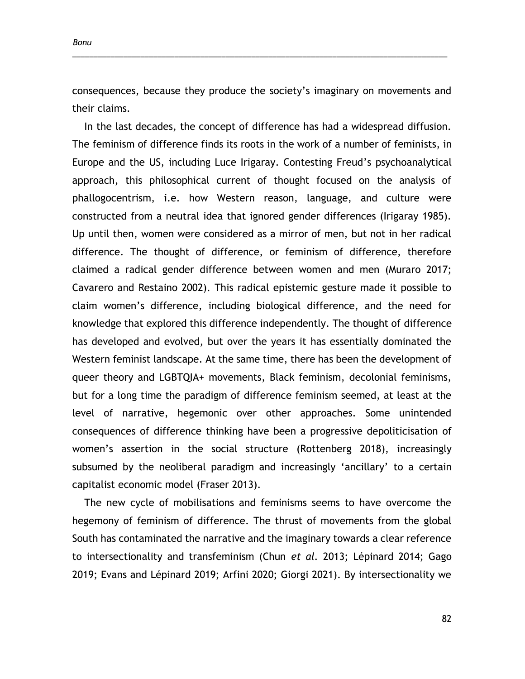consequences, because they produce the society's imaginary on movements and their claims.

\_\_\_\_\_\_\_\_\_\_\_\_\_\_\_\_\_\_\_\_\_\_\_\_\_\_\_\_\_\_\_\_\_\_\_\_\_\_\_\_\_\_\_\_\_\_\_\_\_\_\_\_\_\_\_\_\_\_\_\_\_\_\_\_\_\_\_\_\_\_\_\_\_\_\_\_\_\_\_\_\_\_\_\_\_\_\_\_

In the last decades, the concept of difference has had a widespread diffusion. The feminism of difference finds its roots in the work of a number of feminists, in Europe and the US, including Luce Irigaray. Contesting Freud's psychoanalytical approach, this philosophical current of thought focused on the analysis of phallogocentrism, i.e. how Western reason, language, and culture were constructed from a neutral idea that ignored gender differences (Irigaray 1985). Up until then, women were considered as a mirror of men, but not in her radical difference. The thought of difference, or feminism of difference, therefore claimed a radical gender difference between women and men (Muraro 2017; Cavarero and Restaino 2002). This radical epistemic gesture made it possible to claim women's difference, including biological difference, and the need for knowledge that explored this difference independently. The thought of difference has developed and evolved, but over the years it has essentially dominated the Western feminist landscape. At the same time, there has been the development of queer theory and LGBTQIA+ movements, Black feminism, decolonial feminisms, but for a long time the paradigm of difference feminism seemed, at least at the level of narrative, hegemonic over other approaches. Some unintended consequences of difference thinking have been a progressive depoliticisation of women's assertion in the social structure (Rottenberg 2018), increasingly subsumed by the neoliberal paradigm and increasingly 'ancillary' to a certain capitalist economic model (Fraser 2013).

The new cycle of mobilisations and feminisms seems to have overcome the hegemony of feminism of difference. The thrust of movements from the global South has contaminated the narrative and the imaginary towards a clear reference to intersectionality and transfeminism (Chun *et al.* 2013; Lépinard 2014; Gago 2019; Evans and Lépinard 2019; Arfini 2020; Giorgi 2021). By intersectionality we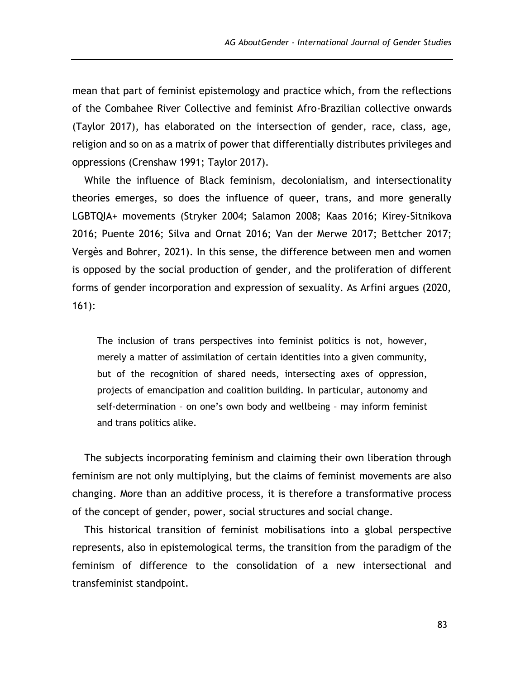mean that part of feminist epistemology and practice which, from the reflections of the Combahee River Collective and feminist Afro-Brazilian collective onwards (Taylor 2017), has elaborated on the intersection of gender, race, class, age, religion and so on as a matrix of power that differentially distributes privileges and oppressions (Crenshaw 1991; Taylor 2017).

While the influence of Black feminism, decolonialism, and intersectionality theories emerges, so does the influence of queer, trans, and more generally LGBTQIA+ movements (Stryker 2004; Salamon 2008; Kaas 2016; Kirey-Sitnikova 2016; Puente 2016; Silva and Ornat 2016; Van der Merwe 2017; Bettcher 2017; Vergès and Bohrer, 2021). In this sense, the difference between men and women is opposed by the social production of gender, and the proliferation of different forms of gender incorporation and expression of sexuality. As Arfini argues (2020, 161):

The inclusion of trans perspectives into feminist politics is not, however, merely a matter of assimilation of certain identities into a given community, but of the recognition of shared needs, intersecting axes of oppression, projects of emancipation and coalition building. In particular, autonomy and self-determination – on one's own body and wellbeing – may inform feminist and trans politics alike.

The subjects incorporating feminism and claiming their own liberation through feminism are not only multiplying, but the claims of feminist movements are also changing. More than an additive process, it is therefore a transformative process of the concept of gender, power, social structures and social change.

This historical transition of feminist mobilisations into a global perspective represents, also in epistemological terms, the transition from the paradigm of the feminism of difference to the consolidation of a new intersectional and transfeminist standpoint.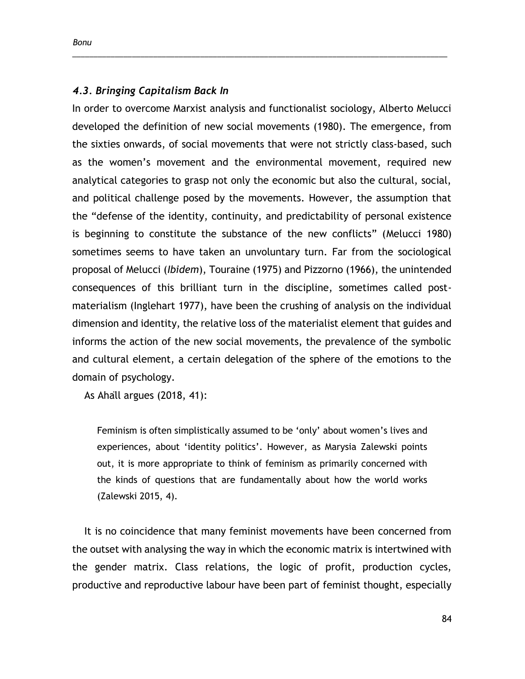### *4.3. Bringing Capitalism Back In*

In order to overcome Marxist analysis and functionalist sociology, Alberto Melucci developed the definition of new social movements (1980). The emergence, from the sixties onwards, of social movements that were not strictly class-based, such as the women's movement and the environmental movement, required new analytical categories to grasp not only the economic but also the cultural, social, and political challenge posed by the movements. However, the assumption that the "defense of the identity, continuity, and predictability of personal existence is beginning to constitute the substance of the new conflicts" (Melucci 1980) sometimes seems to have taken an unvoluntary turn. Far from the sociological proposal of Melucci (*Ibidem*), Touraine (1975) and Pizzorno (1966), the unintended consequences of this brilliant turn in the discipline, sometimes called postmaterialism (Inglehart 1977), have been the crushing of analysis on the individual dimension and identity, the relative loss of the materialist element that guides and informs the action of the new social movements, the prevalence of the symbolic and cultural element, a certain delegation of the sphere of the emotions to the domain of psychology.

\_\_\_\_\_\_\_\_\_\_\_\_\_\_\_\_\_\_\_\_\_\_\_\_\_\_\_\_\_\_\_\_\_\_\_\_\_\_\_\_\_\_\_\_\_\_\_\_\_\_\_\_\_\_\_\_\_\_\_\_\_\_\_\_\_\_\_\_\_\_\_\_\_\_\_\_\_\_\_\_\_\_\_\_\_\_\_\_

As Ahäll argues (2018, 41):

Feminism is often simplistically assumed to be 'only' about women's lives and experiences, about 'identity politics'. However, as Marysia Zalewski points out, it is more appropriate to think of feminism as primarily concerned with the kinds of questions that are fundamentally about how the world works (Zalewski 2015, 4).

It is no coincidence that many feminist movements have been concerned from the outset with analysing the way in which the economic matrix is intertwined with the gender matrix. Class relations, the logic of profit, production cycles, productive and reproductive labour have been part of feminist thought, especially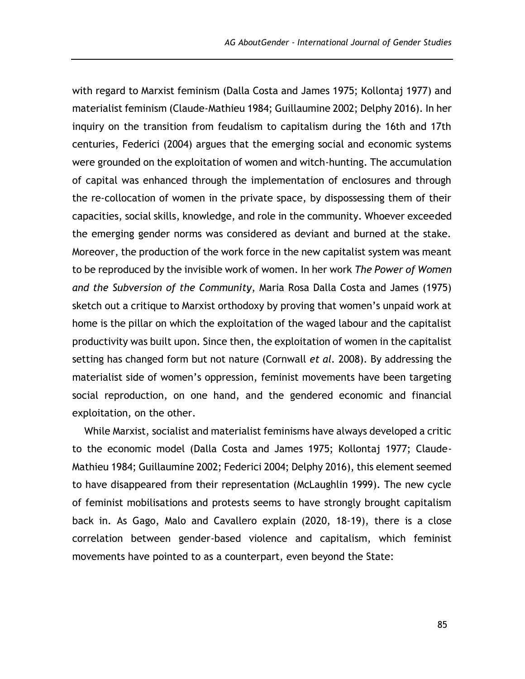with regard to Marxist feminism (Dalla Costa and James 1975; Kollontaj 1977) and materialist feminism (Claude-Mathieu 1984; Guillaumine 2002; Delphy 2016). In her inquiry on the transition from feudalism to capitalism during the 16th and 17th centuries, Federici (2004) argues that the emerging social and economic systems were grounded on the exploitation of women and witch-hunting. The accumulation of capital was enhanced through the implementation of enclosures and through the re-collocation of women in the private space, by dispossessing them of their capacities, social skills, knowledge, and role in the community. Whoever exceeded the emerging gender norms was considered as deviant and burned at the stake. Moreover, the production of the work force in the new capitalist system was meant to be reproduced by the invisible work of women. In her work *The Power of Women and the Subversion of the Community*, Maria Rosa Dalla Costa and James (1975) sketch out a critique to Marxist orthodoxy by proving that women's unpaid work at home is the pillar on which the exploitation of the waged labour and the capitalist productivity was built upon. Since then, the exploitation of women in the capitalist setting has changed form but not nature (Cornwall *et al.* 2008). By addressing the materialist side of women's oppression, feminist movements have been targeting social reproduction, on one hand, and the gendered economic and financial exploitation, on the other.

While Marxist, socialist and materialist feminisms have always developed a critic to the economic model (Dalla Costa and James 1975; Kollontaj 1977; Claude-Mathieu 1984; Guillaumine 2002; Federici 2004; Delphy 2016), this element seemed to have disappeared from their representation (McLaughlin 1999). The new cycle of feminist mobilisations and protests seems to have strongly brought capitalism back in. As Gago, Malo and Cavallero explain (2020, 18-19), there is a close correlation between gender-based violence and capitalism, which feminist movements have pointed to as a counterpart, even beyond the State: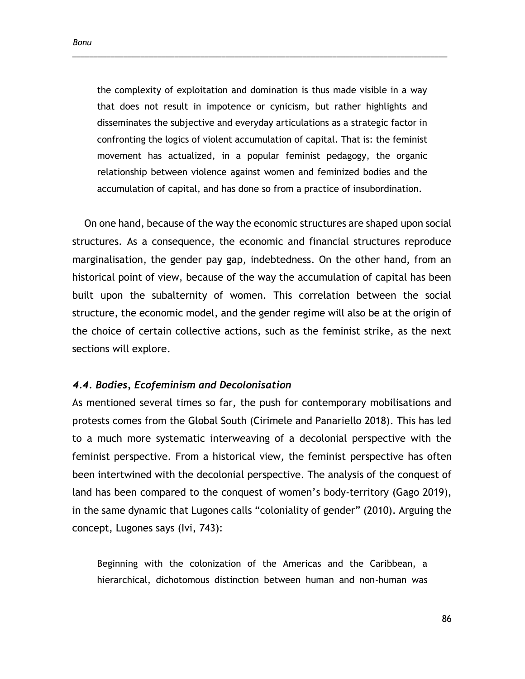the complexity of exploitation and domination is thus made visible in a way that does not result in impotence or cynicism, but rather highlights and disseminates the subjective and everyday articulations as a strategic factor in confronting the logics of violent accumulation of capital. That is: the feminist movement has actualized, in a popular feminist pedagogy, the organic relationship between violence against women and feminized bodies and the accumulation of capital, and has done so from a practice of insubordination.

\_\_\_\_\_\_\_\_\_\_\_\_\_\_\_\_\_\_\_\_\_\_\_\_\_\_\_\_\_\_\_\_\_\_\_\_\_\_\_\_\_\_\_\_\_\_\_\_\_\_\_\_\_\_\_\_\_\_\_\_\_\_\_\_\_\_\_\_\_\_\_\_\_\_\_\_\_\_\_\_\_\_\_\_\_\_\_\_

On one hand, because of the way the economic structures are shaped upon social structures. As a consequence, the economic and financial structures reproduce marginalisation, the gender pay gap, indebtedness. On the other hand, from an historical point of view, because of the way the accumulation of capital has been built upon the subalternity of women. This correlation between the social structure, the economic model, and the gender regime will also be at the origin of the choice of certain collective actions, such as the feminist strike, as the next sections will explore.

#### *4.4. Bodies, Ecofeminism and Decolonisation*

As mentioned several times so far, the push for contemporary mobilisations and protests comes from the Global South (Cirimele and Panariello 2018). This has led to a much more systematic interweaving of a decolonial perspective with the feminist perspective. From a historical view, the feminist perspective has often been intertwined with the decolonial perspective. The analysis of the conquest of land has been compared to the conquest of women's body-territory (Gago 2019), in the same dynamic that Lugones calls "coloniality of gender" (2010). Arguing the concept, Lugones says (Ivi, 743):

Beginning with the colonization of the Americas and the Caribbean, a hierarchical, dichotomous distinction between human and non-human was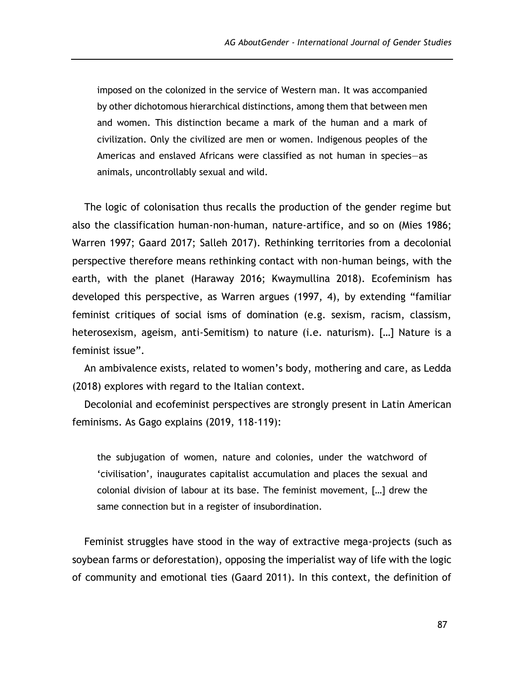imposed on the colonized in the service of Western man. It was accompanied by other dichotomous hierarchical distinctions, among them that between men and women. This distinction became a mark of the human and a mark of civilization. Only the civilized are men or women. Indigenous peoples of the Americas and enslaved Africans were classified as not human in species—as animals, uncontrollably sexual and wild.

The logic of colonisation thus recalls the production of the gender regime but also the classification human-non-human, nature-artifice, and so on (Mies 1986; Warren 1997; Gaard 2017; Salleh 2017). Rethinking territories from a decolonial perspective therefore means rethinking contact with non-human beings, with the earth, with the planet (Haraway 2016; Kwaymullina 2018). Ecofeminism has developed this perspective, as Warren argues (1997, 4), by extending "familiar feminist critiques of social isms of domination (e.g. sexism, racism, classism, heterosexism, ageism, anti-Semitism) to nature (i.e. naturism). […] Nature is a feminist issue".

An ambivalence exists, related to women's body, mothering and care, as Ledda (2018) explores with regard to the Italian context.

Decolonial and ecofeminist perspectives are strongly present in Latin American feminisms. As Gago explains (2019, 118-119):

the subjugation of women, nature and colonies, under the watchword of 'civilisation', inaugurates capitalist accumulation and places the sexual and colonial division of labour at its base. The feminist movement, […] drew the same connection but in a register of insubordination.

Feminist struggles have stood in the way of extractive mega-projects (such as soybean farms or deforestation), opposing the imperialist way of life with the logic of community and emotional ties (Gaard 2011). In this context, the definition of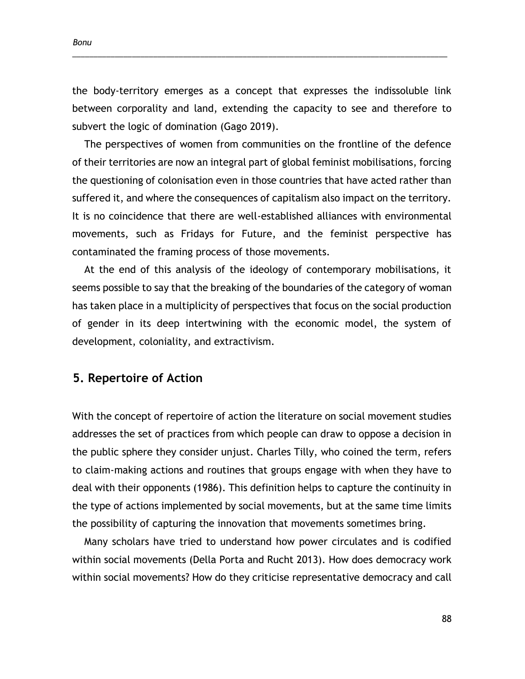*Bonu*

the body-territory emerges as a concept that expresses the indissoluble link between corporality and land, extending the capacity to see and therefore to subvert the logic of domination (Gago 2019).

\_\_\_\_\_\_\_\_\_\_\_\_\_\_\_\_\_\_\_\_\_\_\_\_\_\_\_\_\_\_\_\_\_\_\_\_\_\_\_\_\_\_\_\_\_\_\_\_\_\_\_\_\_\_\_\_\_\_\_\_\_\_\_\_\_\_\_\_\_\_\_\_\_\_\_\_\_\_\_\_\_\_\_\_\_\_\_\_

The perspectives of women from communities on the frontline of the defence of their territories are now an integral part of global feminist mobilisations, forcing the questioning of colonisation even in those countries that have acted rather than suffered it, and where the consequences of capitalism also impact on the territory. It is no coincidence that there are well-established alliances with environmental movements, such as Fridays for Future, and the feminist perspective has contaminated the framing process of those movements.

At the end of this analysis of the ideology of contemporary mobilisations, it seems possible to say that the breaking of the boundaries of the category of woman has taken place in a multiplicity of perspectives that focus on the social production of gender in its deep intertwining with the economic model, the system of development, coloniality, and extractivism.

# **5. Repertoire of Action**

With the concept of repertoire of action the literature on social movement studies addresses the set of practices from which people can draw to oppose a decision in the public sphere they consider unjust. Charles Tilly, who coined the term, refers to claim-making actions and routines that groups engage with when they have to deal with their opponents (1986). This definition helps to capture the continuity in the type of actions implemented by social movements, but at the same time limits the possibility of capturing the innovation that movements sometimes bring.

Many scholars have tried to understand how power circulates and is codified within social movements (Della Porta and Rucht 2013). How does democracy work within social movements? How do they criticise representative democracy and call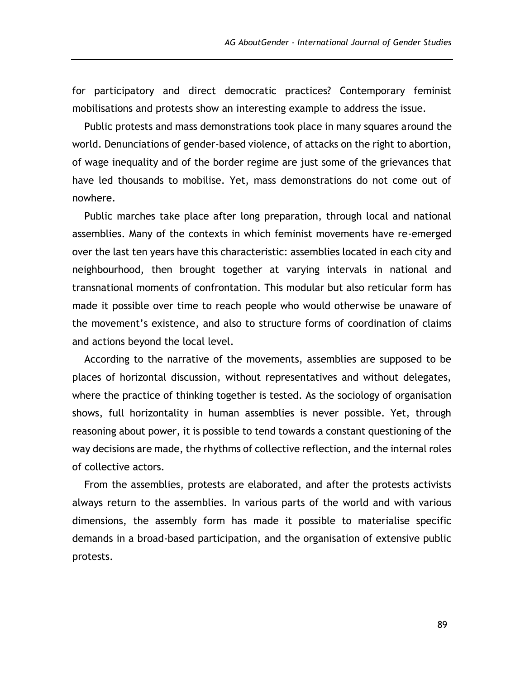for participatory and direct democratic practices? Contemporary feminist mobilisations and protests show an interesting example to address the issue.

Public protests and mass demonstrations took place in many squares around the world. Denunciations of gender-based violence, of attacks on the right to abortion, of wage inequality and of the border regime are just some of the grievances that have led thousands to mobilise. Yet, mass demonstrations do not come out of nowhere.

Public marches take place after long preparation, through local and national assemblies. Many of the contexts in which feminist movements have re-emerged over the last ten years have this characteristic: assemblies located in each city and neighbourhood, then brought together at varying intervals in national and transnational moments of confrontation. This modular but also reticular form has made it possible over time to reach people who would otherwise be unaware of the movement's existence, and also to structure forms of coordination of claims and actions beyond the local level.

According to the narrative of the movements, assemblies are supposed to be places of horizontal discussion, without representatives and without delegates, where the practice of thinking together is tested. As the sociology of organisation shows, full horizontality in human assemblies is never possible. Yet, through reasoning about power, it is possible to tend towards a constant questioning of the way decisions are made, the rhythms of collective reflection, and the internal roles of collective actors.

From the assemblies, protests are elaborated, and after the protests activists always return to the assemblies. In various parts of the world and with various dimensions, the assembly form has made it possible to materialise specific demands in a broad-based participation, and the organisation of extensive public protests.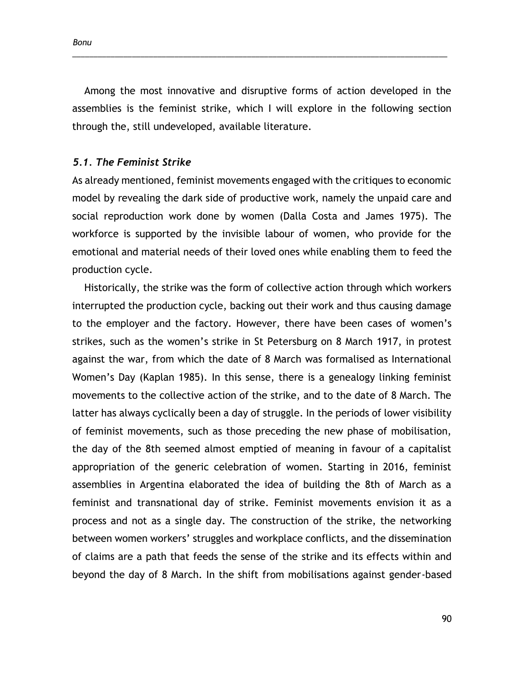Among the most innovative and disruptive forms of action developed in the assemblies is the feminist strike, which I will explore in the following section through the, still undeveloped, available literature.

\_\_\_\_\_\_\_\_\_\_\_\_\_\_\_\_\_\_\_\_\_\_\_\_\_\_\_\_\_\_\_\_\_\_\_\_\_\_\_\_\_\_\_\_\_\_\_\_\_\_\_\_\_\_\_\_\_\_\_\_\_\_\_\_\_\_\_\_\_\_\_\_\_\_\_\_\_\_\_\_\_\_\_\_\_\_\_\_

### *5.1. The Feminist Strike*

As already mentioned, feminist movements engaged with the critiques to economic model by revealing the dark side of productive work, namely the unpaid care and social reproduction work done by women (Dalla Costa and James 1975). The workforce is supported by the invisible labour of women, who provide for the emotional and material needs of their loved ones while enabling them to feed the production cycle.

Historically, the strike was the form of collective action through which workers interrupted the production cycle, backing out their work and thus causing damage to the employer and the factory. However, there have been cases of women's strikes, such as the women's strike in St Petersburg on 8 March 1917, in protest against the war, from which the date of 8 March was formalised as International Women's Day (Kaplan 1985). In this sense, there is a genealogy linking feminist movements to the collective action of the strike, and to the date of 8 March. The latter has always cyclically been a day of struggle. In the periods of lower visibility of feminist movements, such as those preceding the new phase of mobilisation, the day of the 8th seemed almost emptied of meaning in favour of a capitalist appropriation of the generic celebration of women. Starting in 2016, feminist assemblies in Argentina elaborated the idea of building the 8th of March as a feminist and transnational day of strike. Feminist movements envision it as a process and not as a single day. The construction of the strike, the networking between women workers' struggles and workplace conflicts, and the dissemination of claims are a path that feeds the sense of the strike and its effects within and beyond the day of 8 March. In the shift from mobilisations against gender-based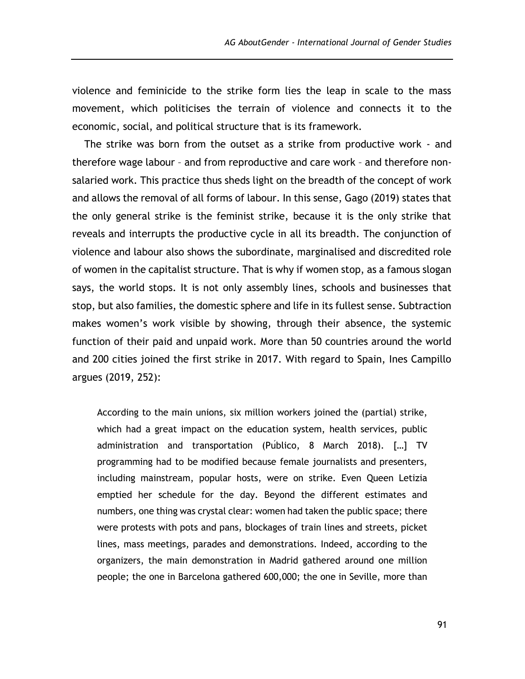violence and feminicide to the strike form lies the leap in scale to the mass movement, which politicises the terrain of violence and connects it to the economic, social, and political structure that is its framework.

The strike was born from the outset as a strike from productive work - and therefore wage labour – and from reproductive and care work – and therefore nonsalaried work. This practice thus sheds light on the breadth of the concept of work and allows the removal of all forms of labour. In this sense, Gago (2019) states that the only general strike is the feminist strike, because it is the only strike that reveals and interrupts the productive cycle in all its breadth. The conjunction of violence and labour also shows the subordinate, marginalised and discredited role of women in the capitalist structure. That is why if women stop, as a famous slogan says, the world stops. It is not only assembly lines, schools and businesses that stop, but also families, the domestic sphere and life in its fullest sense. Subtraction makes women's work visible by showing, through their absence, the systemic function of their paid and unpaid work. More than 50 countries around the world and 200 cities joined the first strike in 2017. With regard to Spain, Ines Campillo argues (2019, 252):

According to the main unions, six million workers joined the (partial) strike, which had a great impact on the education system, health services, public administration and transportation (Público, 8 March 2018). […] TV programming had to be modified because female journalists and presenters, including mainstream, popular hosts, were on strike. Even Queen Letizia emptied her schedule for the day. Beyond the different estimates and numbers, one thing was crystal clear: women had taken the public space; there were protests with pots and pans, blockages of train lines and streets, picket lines, mass meetings, parades and demonstrations. Indeed, according to the organizers, the main demonstration in Madrid gathered around one million people; the one in Barcelona gathered 600,000; the one in Seville, more than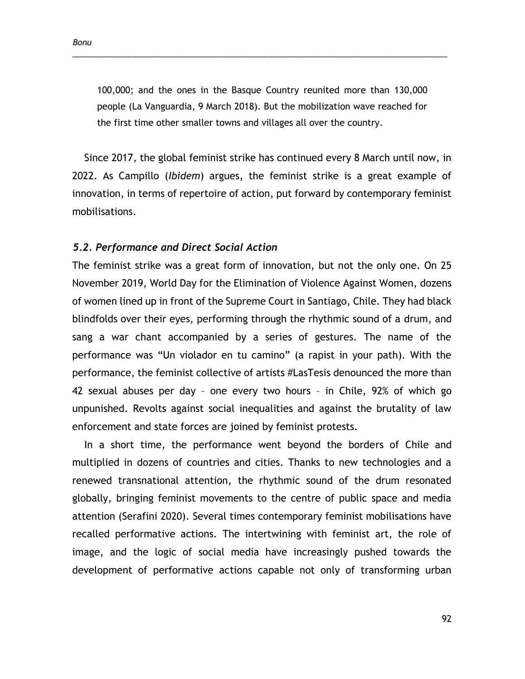100,000; and the ones in the Basque Country reunited more than 130,000 people (La Vanguardia, 9 March 2018). But the mobilization wave reached for the first time other smaller towns and villages all over the country.

\_\_\_\_\_\_\_\_\_\_\_\_\_\_\_\_\_\_\_\_\_\_\_\_\_\_\_\_\_\_\_\_\_\_\_\_\_\_\_\_\_\_\_\_\_\_\_\_\_\_\_\_\_\_\_\_\_\_\_\_\_\_\_\_\_\_\_\_\_\_\_\_\_\_\_\_\_\_\_\_\_\_\_\_\_\_\_\_

Since 2017, the global feminist strike has continued every 8 March until now, in 2022. As Campillo (*Ibidem*) argues, the feminist strike is a great example of innovation, in terms of repertoire of action, put forward by contemporary feminist mobilisations.

#### *5.2. Performance and Direct Social Action*

The feminist strike was a great form of innovation, but not the only one. On 25 November 2019, World Day for the Elimination of Violence Against Women, dozens of women lined up in front of the Supreme Court in Santiago, Chile. They had black blindfolds over their eyes, performing through the rhythmic sound of a drum, and sang a war chant accompanied by a series of gestures. The name of the performance was "Un violador en tu camino" (a rapist in your path). With the performance, the feminist collective of artists #LasTesis denounced the more than 42 sexual abuses per day – one every two hours – in Chile, 92% of which go unpunished. Revolts against social inequalities and against the brutality of law enforcement and state forces are joined by feminist protests.

In a short time, the performance went beyond the borders of Chile and multiplied in dozens of countries and cities. Thanks to new technologies and a renewed transnational attention, the rhythmic sound of the drum resonated globally, bringing feminist movements to the centre of public space and media attention (Serafini 2020). Several times contemporary feminist mobilisations have recalled performative actions. The intertwining with feminist art, the role of image, and the logic of social media have increasingly pushed towards the development of performative actions capable not only of transforming urban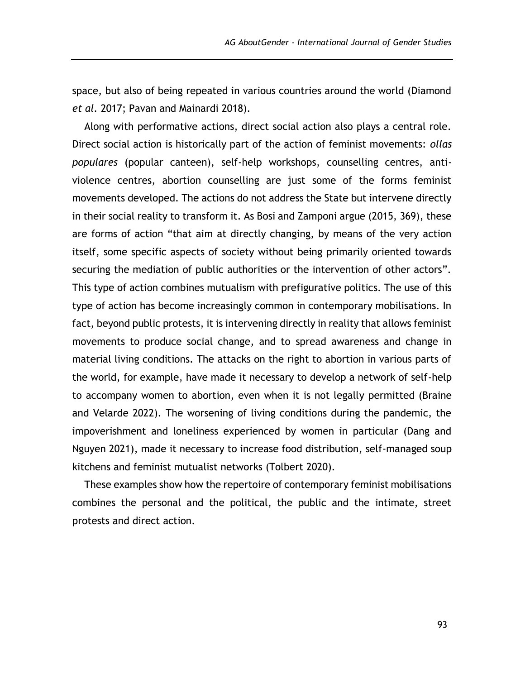space, but also of being repeated in various countries around the world (Diamond *et al.* 2017; Pavan and Mainardi 2018).

Along with performative actions, direct social action also plays a central role. Direct social action is historically part of the action of feminist movements: *ollas populares* (popular canteen), self-help workshops, counselling centres, antiviolence centres, abortion counselling are just some of the forms feminist movements developed. The actions do not address the State but intervene directly in their social reality to transform it. As Bosi and Zamponi argue (2015, 369), these are forms of action "that aim at directly changing, by means of the very action itself, some specific aspects of society without being primarily oriented towards securing the mediation of public authorities or the intervention of other actors". This type of action combines mutualism with prefigurative politics. The use of this type of action has become increasingly common in contemporary mobilisations. In fact, beyond public protests, it is intervening directly in reality that allows feminist movements to produce social change, and to spread awareness and change in material living conditions. The attacks on the right to abortion in various parts of the world, for example, have made it necessary to develop a network of self-help to accompany women to abortion, even when it is not legally permitted (Braine and Velarde 2022). The worsening of living conditions during the pandemic, the impoverishment and loneliness experienced by women in particular (Dang and Nguyen 2021), made it necessary to increase food distribution, self-managed soup kitchens and feminist mutualist networks (Tolbert 2020).

These examples show how the repertoire of contemporary feminist mobilisations combines the personal and the political, the public and the intimate, street protests and direct action.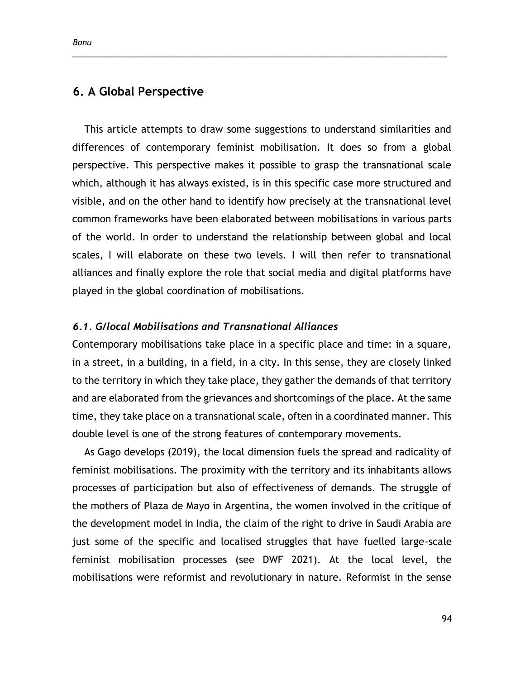# **6. A Global Perspective**

This article attempts to draw some suggestions to understand similarities and differences of contemporary feminist mobilisation. It does so from a global perspective. This perspective makes it possible to grasp the transnational scale which, although it has always existed, is in this specific case more structured and visible, and on the other hand to identify how precisely at the transnational level common frameworks have been elaborated between mobilisations in various parts of the world. In order to understand the relationship between global and local scales, I will elaborate on these two levels. I will then refer to transnational alliances and finally explore the role that social media and digital platforms have played in the global coordination of mobilisations.

\_\_\_\_\_\_\_\_\_\_\_\_\_\_\_\_\_\_\_\_\_\_\_\_\_\_\_\_\_\_\_\_\_\_\_\_\_\_\_\_\_\_\_\_\_\_\_\_\_\_\_\_\_\_\_\_\_\_\_\_\_\_\_\_\_\_\_\_\_\_\_\_\_\_\_\_\_\_\_\_\_\_\_\_\_\_\_\_

### *6.1. G/local Mobilisations and Transnational Alliances*

Contemporary mobilisations take place in a specific place and time: in a square, in a street, in a building, in a field, in a city. In this sense, they are closely linked to the territory in which they take place, they gather the demands of that territory and are elaborated from the grievances and shortcomings of the place. At the same time, they take place on a transnational scale, often in a coordinated manner. This double level is one of the strong features of contemporary movements.

As Gago develops (2019), the local dimension fuels the spread and radicality of feminist mobilisations. The proximity with the territory and its inhabitants allows processes of participation but also of effectiveness of demands. The struggle of the mothers of Plaza de Mayo in Argentina, the women involved in the critique of the development model in India, the claim of the right to drive in Saudi Arabia are just some of the specific and localised struggles that have fuelled large-scale feminist mobilisation processes (see DWF 2021). At the local level, the mobilisations were reformist and revolutionary in nature. Reformist in the sense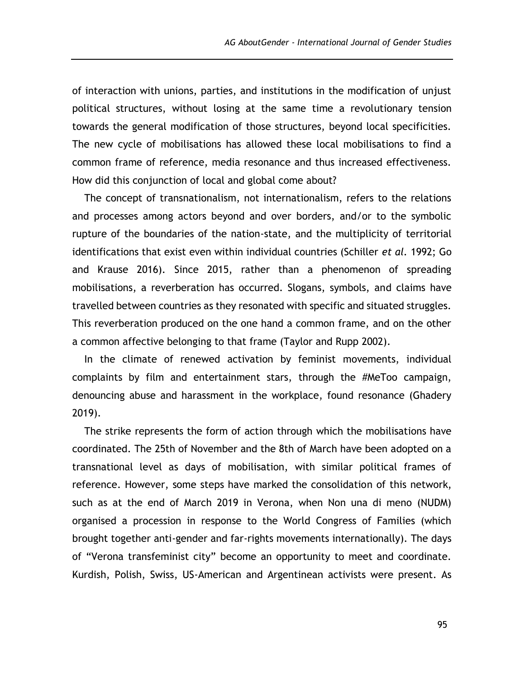of interaction with unions, parties, and institutions in the modification of unjust political structures, without losing at the same time a revolutionary tension towards the general modification of those structures, beyond local specificities. The new cycle of mobilisations has allowed these local mobilisations to find a common frame of reference, media resonance and thus increased effectiveness. How did this conjunction of local and global come about?

The concept of transnationalism, not internationalism, refers to the relations and processes among actors beyond and over borders, and/or to the symbolic rupture of the boundaries of the nation-state, and the multiplicity of territorial identifications that exist even within individual countries (Schiller *et al.* 1992; Go and Krause 2016). Since 2015, rather than a phenomenon of spreading mobilisations, a reverberation has occurred. Slogans, symbols, and claims have travelled between countries as they resonated with specific and situated struggles. This reverberation produced on the one hand a common frame, and on the other a common affective belonging to that frame (Taylor and Rupp 2002).

In the climate of renewed activation by feminist movements, individual complaints by film and entertainment stars, through the #MeToo campaign, denouncing abuse and harassment in the workplace, found resonance (Ghadery 2019).

The strike represents the form of action through which the mobilisations have coordinated. The 25th of November and the 8th of March have been adopted on a transnational level as days of mobilisation, with similar political frames of reference. However, some steps have marked the consolidation of this network, such as at the end of March 2019 in Verona, when Non una di meno (NUDM) organised a procession in response to the World Congress of Families (which brought together anti-gender and far-rights movements internationally). The days of "Verona transfeminist city" become an opportunity to meet and coordinate. Kurdish, Polish, Swiss, US-American and Argentinean activists were present. As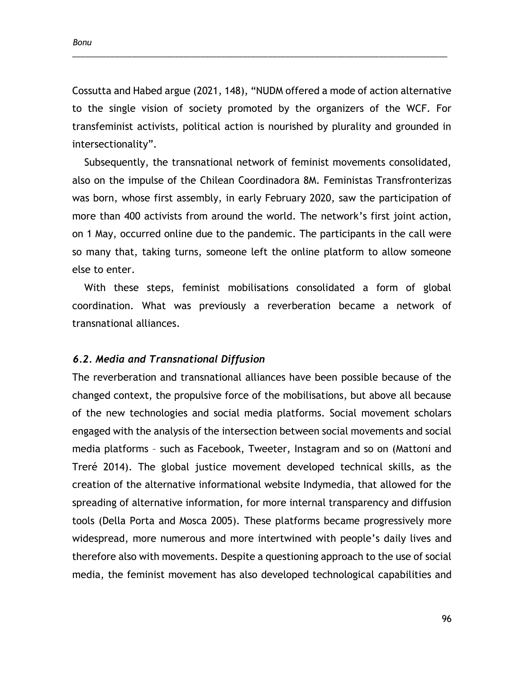Cossutta and Habed argue (2021, 148), "NUDM offered a mode of action alternative to the single vision of society promoted by the organizers of the WCF. For transfeminist activists, political action is nourished by plurality and grounded in intersectionality".

\_\_\_\_\_\_\_\_\_\_\_\_\_\_\_\_\_\_\_\_\_\_\_\_\_\_\_\_\_\_\_\_\_\_\_\_\_\_\_\_\_\_\_\_\_\_\_\_\_\_\_\_\_\_\_\_\_\_\_\_\_\_\_\_\_\_\_\_\_\_\_\_\_\_\_\_\_\_\_\_\_\_\_\_\_\_\_\_

Subsequently, the transnational network of feminist movements consolidated, also on the impulse of the Chilean Coordinadora 8M. Feministas Transfronterizas was born, whose first assembly, in early February 2020, saw the participation of more than 400 activists from around the world. The network's first joint action, on 1 May, occurred online due to the pandemic. The participants in the call were so many that, taking turns, someone left the online platform to allow someone else to enter.

With these steps, feminist mobilisations consolidated a form of global coordination. What was previously a reverberation became a network of transnational alliances.

#### *6.2. Media and Transnational Diffusion*

The reverberation and transnational alliances have been possible because of the changed context, the propulsive force of the mobilisations, but above all because of the new technologies and social media platforms. Social movement scholars engaged with the analysis of the intersection between social movements and social media platforms – such as Facebook, Tweeter, Instagram and so on (Mattoni and Treré 2014). The global justice movement developed technical skills, as the creation of the alternative informational website Indymedia, that allowed for the spreading of alternative information, for more internal transparency and diffusion tools (Della Porta and Mosca 2005). These platforms became progressively more widespread, more numerous and more intertwined with people's daily lives and therefore also with movements. Despite a questioning approach to the use of social media, the feminist movement has also developed technological capabilities and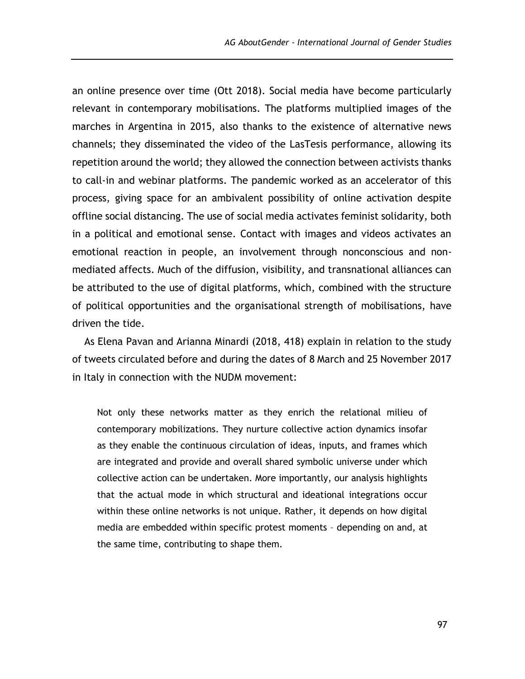an online presence over time (Ott 2018). Social media have become particularly relevant in contemporary mobilisations. The platforms multiplied images of the marches in Argentina in 2015, also thanks to the existence of alternative news channels; they disseminated the video of the LasTesis performance, allowing its repetition around the world; they allowed the connection between activists thanks to call-in and webinar platforms. The pandemic worked as an accelerator of this process, giving space for an ambivalent possibility of online activation despite offline social distancing. The use of social media activates feminist solidarity, both in a political and emotional sense. Contact with images and videos activates an emotional reaction in people, an involvement through nonconscious and nonmediated affects. Much of the diffusion, visibility, and transnational alliances can be attributed to the use of digital platforms, which, combined with the structure of political opportunities and the organisational strength of mobilisations, have driven the tide.

As Elena Pavan and Arianna Minardi (2018, 418) explain in relation to the study of tweets circulated before and during the dates of 8 March and 25 November 2017 in Italy in connection with the NUDM movement:

Not only these networks matter as they enrich the relational milieu of contemporary mobilizations. They nurture collective action dynamics insofar as they enable the continuous circulation of ideas, inputs, and frames which are integrated and provide and overall shared symbolic universe under which collective action can be undertaken. More importantly, our analysis highlights that the actual mode in which structural and ideational integrations occur within these online networks is not unique. Rather, it depends on how digital media are embedded within specific protest moments – depending on and, at the same time, contributing to shape them.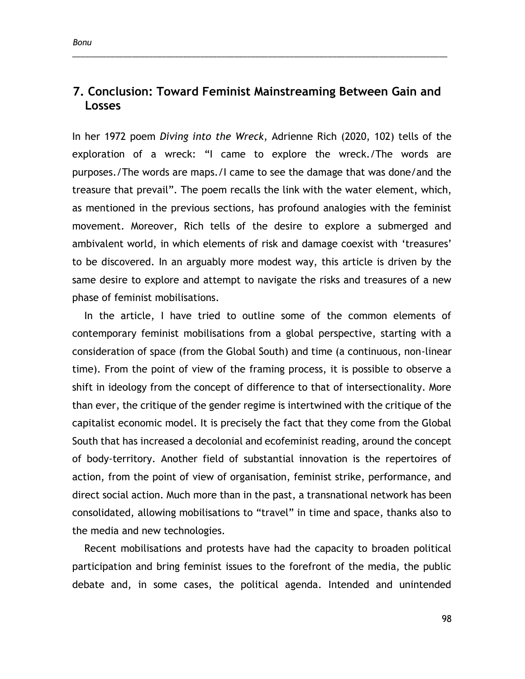# **7. Conclusion: Toward Feminist Mainstreaming Between Gain and Losses**

\_\_\_\_\_\_\_\_\_\_\_\_\_\_\_\_\_\_\_\_\_\_\_\_\_\_\_\_\_\_\_\_\_\_\_\_\_\_\_\_\_\_\_\_\_\_\_\_\_\_\_\_\_\_\_\_\_\_\_\_\_\_\_\_\_\_\_\_\_\_\_\_\_\_\_\_\_\_\_\_\_\_\_\_\_\_\_\_

In her 1972 poem *Diving into the Wreck*, Adrienne Rich (2020, 102) tells of the exploration of a wreck: "I came to explore the wreck./The words are purposes./The words are maps./I came to see the damage that was done/and the treasure that prevail". The poem recalls the link with the water element, which, as mentioned in the previous sections, has profound analogies with the feminist movement. Moreover, Rich tells of the desire to explore a submerged and ambivalent world, in which elements of risk and damage coexist with 'treasures' to be discovered. In an arguably more modest way, this article is driven by the same desire to explore and attempt to navigate the risks and treasures of a new phase of feminist mobilisations.

In the article, I have tried to outline some of the common elements of contemporary feminist mobilisations from a global perspective, starting with a consideration of space (from the Global South) and time (a continuous, non-linear time). From the point of view of the framing process, it is possible to observe a shift in ideology from the concept of difference to that of intersectionality. More than ever, the critique of the gender regime is intertwined with the critique of the capitalist economic model. It is precisely the fact that they come from the Global South that has increased a decolonial and ecofeminist reading, around the concept of body-territory. Another field of substantial innovation is the repertoires of action, from the point of view of organisation, feminist strike, performance, and direct social action. Much more than in the past, a transnational network has been consolidated, allowing mobilisations to "travel" in time and space, thanks also to the media and new technologies.

Recent mobilisations and protests have had the capacity to broaden political participation and bring feminist issues to the forefront of the media, the public debate and, in some cases, the political agenda. Intended and unintended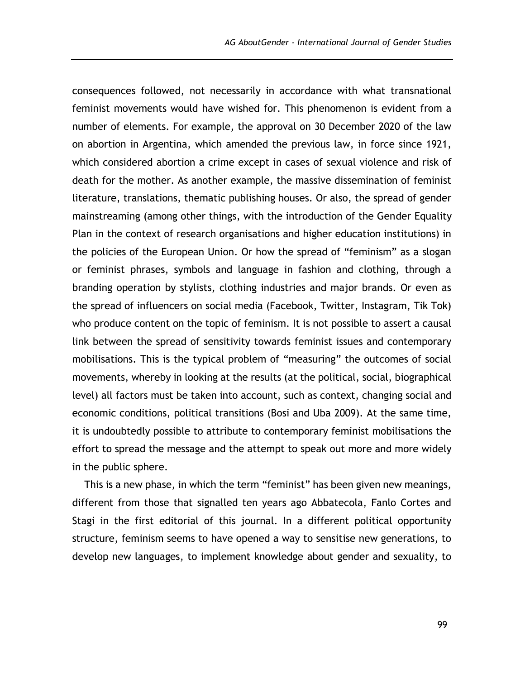consequences followed, not necessarily in accordance with what transnational feminist movements would have wished for. This phenomenon is evident from a number of elements. For example, the approval on 30 December 2020 of the law on abortion in Argentina, which amended the previous law, in force since 1921, which considered abortion a crime except in cases of sexual violence and risk of death for the mother. As another example, the massive dissemination of feminist literature, translations, thematic publishing houses. Or also, the spread of gender mainstreaming (among other things, with the introduction of the Gender Equality Plan in the context of research organisations and higher education institutions) in the policies of the European Union. Or how the spread of "feminism" as a slogan or feminist phrases, symbols and language in fashion and clothing, through a branding operation by stylists, clothing industries and major brands. Or even as the spread of influencers on social media (Facebook, Twitter, Instagram, Tik Tok) who produce content on the topic of feminism. It is not possible to assert a causal link between the spread of sensitivity towards feminist issues and contemporary mobilisations. This is the typical problem of "measuring" the outcomes of social movements, whereby in looking at the results (at the political, social, biographical level) all factors must be taken into account, such as context, changing social and economic conditions, political transitions (Bosi and Uba 2009). At the same time, it is undoubtedly possible to attribute to contemporary feminist mobilisations the effort to spread the message and the attempt to speak out more and more widely in the public sphere.

This is a new phase, in which the term "feminist" has been given new meanings, different from those that signalled ten years ago Abbatecola, Fanlo Cortes and Stagi in the first editorial of this journal. In a different political opportunity structure, feminism seems to have opened a way to sensitise new generations, to develop new languages, to implement knowledge about gender and sexuality, to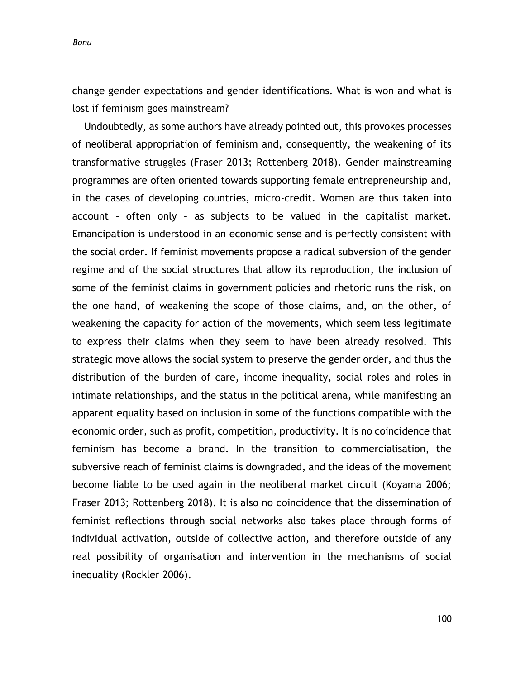*Bonu*

change gender expectations and gender identifications. What is won and what is lost if feminism goes mainstream?

\_\_\_\_\_\_\_\_\_\_\_\_\_\_\_\_\_\_\_\_\_\_\_\_\_\_\_\_\_\_\_\_\_\_\_\_\_\_\_\_\_\_\_\_\_\_\_\_\_\_\_\_\_\_\_\_\_\_\_\_\_\_\_\_\_\_\_\_\_\_\_\_\_\_\_\_\_\_\_\_\_\_\_\_\_\_\_\_

Undoubtedly, as some authors have already pointed out, this provokes processes of neoliberal appropriation of feminism and, consequently, the weakening of its transformative struggles (Fraser 2013; Rottenberg 2018). Gender mainstreaming programmes are often oriented towards supporting female entrepreneurship and, in the cases of developing countries, micro-credit. Women are thus taken into account – often only – as subjects to be valued in the capitalist market. Emancipation is understood in an economic sense and is perfectly consistent with the social order. If feminist movements propose a radical subversion of the gender regime and of the social structures that allow its reproduction, the inclusion of some of the feminist claims in government policies and rhetoric runs the risk, on the one hand, of weakening the scope of those claims, and, on the other, of weakening the capacity for action of the movements, which seem less legitimate to express their claims when they seem to have been already resolved. This strategic move allows the social system to preserve the gender order, and thus the distribution of the burden of care, income inequality, social roles and roles in intimate relationships, and the status in the political arena, while manifesting an apparent equality based on inclusion in some of the functions compatible with the economic order, such as profit, competition, productivity. It is no coincidence that feminism has become a brand. In the transition to commercialisation, the subversive reach of feminist claims is downgraded, and the ideas of the movement become liable to be used again in the neoliberal market circuit (Koyama 2006; Fraser 2013; Rottenberg 2018). It is also no coincidence that the dissemination of feminist reflections through social networks also takes place through forms of individual activation, outside of collective action, and therefore outside of any real possibility of organisation and intervention in the mechanisms of social inequality (Rockler 2006).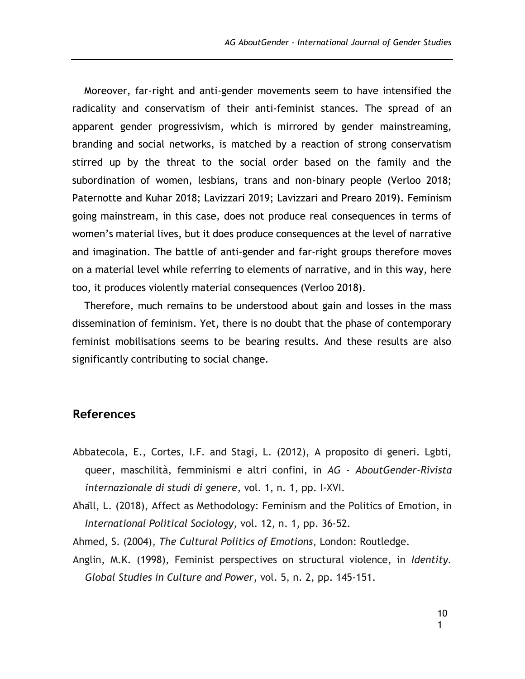Moreover, far-right and anti-gender movements seem to have intensified the radicality and conservatism of their anti-feminist stances. The spread of an apparent gender progressivism, which is mirrored by gender mainstreaming, branding and social networks, is matched by a reaction of strong conservatism stirred up by the threat to the social order based on the family and the subordination of women, lesbians, trans and non-binary people (Verloo 2018; Paternotte and Kuhar 2018; Lavizzari 2019; Lavizzari and Prearo 2019). Feminism going mainstream, in this case, does not produce real consequences in terms of women's material lives, but it does produce consequences at the level of narrative and imagination. The battle of anti-gender and far-right groups therefore moves on a material level while referring to elements of narrative, and in this way, here too, it produces violently material consequences (Verloo 2018).

Therefore, much remains to be understood about gain and losses in the mass dissemination of feminism. Yet, there is no doubt that the phase of contemporary feminist mobilisations seems to be bearing results. And these results are also significantly contributing to social change.

## **References**

- Abbatecola, E., Cortes, I.F. and Stagi, L. (2012), A proposito di generi. Lgbti, queer, maschilità, femminismi e altri confini, in *AG - AboutGender-Rivista internazionale di studi di genere*, vol. 1, n. 1, pp. I-XVI.
- Åhäll, L. (2018), Affect as Methodology: Feminism and the Politics of Emotion, in *International Political Sociology*, vol. 12, n. 1, pp. 36-52.
- Ahmed, S. (2004), *The Cultural Politics of Emotions*, London: Routledge.
- Anglin, M.K. (1998), Feminist perspectives on structural violence, in *Identity. Global Studies in Culture and Power*, vol. 5, n. 2, pp. 145-151.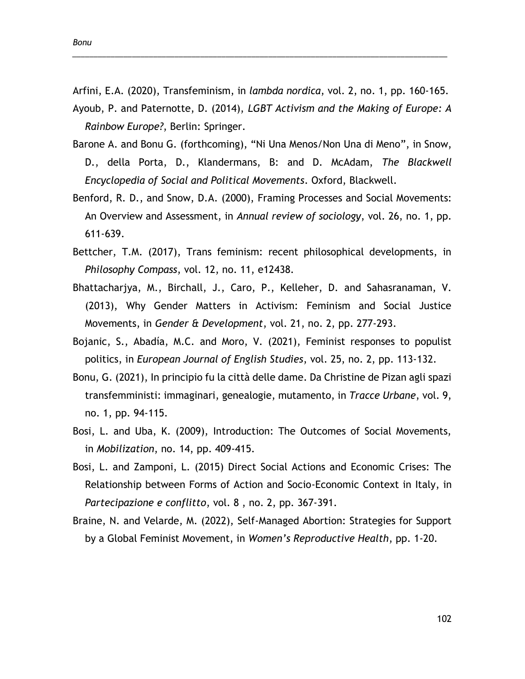Arfini, E.A. (2020), Transfeminism, in *lambda nordica*, vol. 2, no. 1, pp. 160-165. Ayoub, P. and Paternotte, D. (2014), *LGBT Activism and the Making of Europe: A Rainbow Europe?*, Berlin: Springer.

\_\_\_\_\_\_\_\_\_\_\_\_\_\_\_\_\_\_\_\_\_\_\_\_\_\_\_\_\_\_\_\_\_\_\_\_\_\_\_\_\_\_\_\_\_\_\_\_\_\_\_\_\_\_\_\_\_\_\_\_\_\_\_\_\_\_\_\_\_\_\_\_\_\_\_\_\_\_\_\_\_\_\_\_\_\_\_\_

- Barone A. and Bonu G. (forthcoming), "Ni Una Menos/Non Una di Meno", in Snow, D., della Porta, D., Klandermans, B: and D. McAdam, *The Blackwell Encyclopedia of Social and Political Movements*. Oxford, Blackwell.
- Benford, R. D., and Snow, D.A. (2000), Framing Processes and Social Movements: An Overview and Assessment, in *Annual review of sociology*, vol. 26, no. 1, pp. 611-639.
- Bettcher, T.M. (2017), Trans feminism: recent philosophical developments, in *Philosophy Compass*, vol. 12, no. 11, e12438.
- Bhattacharjya, M., Birchall, J., Caro, P., Kelleher, D. and Sahasranaman, V. (2013), Why Gender Matters in Activism: Feminism and Social Justice Movements, in *Gender & Development*, vol. 21, no. 2, pp. 277-293.
- Bojanic, S., Abadía, M.C. and Moro, V. (2021), Feminist responses to populist politics, in *European Journal of English Studies*, vol. 25, no. 2, pp. 113-132.
- Bonu, G. (2021), In principio fu la città delle dame. Da Christine de Pizan agli spazi transfemministi: immaginari, genealogie, mutamento, in *Tracce Urbane*, vol. 9, no. 1, pp. 94-115.
- Bosi, L. and Uba, K. (2009), Introduction: The Outcomes of Social Movements, in *Mobilization*, no. 14, pp. 409-415.
- Bosi, L. and Zamponi, L. (2015) Direct Social Actions and Economic Crises: The Relationship between Forms of Action and Socio-Economic Context in Italy, in *Partecipazione e conflitto*, vol. 8 , no. 2, pp. 367-391.
- Braine, N. and Velarde, M. (2022), Self-Managed Abortion: Strategies for Support by a Global Feminist Movement, in *Women's Reproductive Health*, pp. 1-20.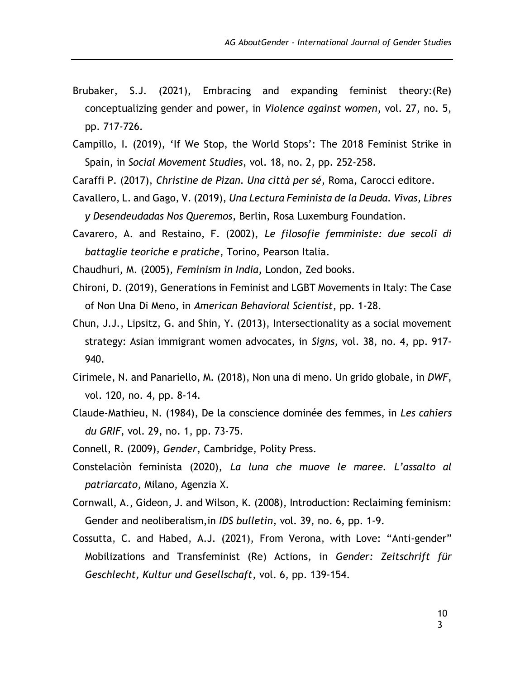- Brubaker, S.J. (2021), Embracing and expanding feminist theory:(Re) conceptualizing gender and power, in *Violence against women*, vol. 27, no. 5, pp. 717-726.
- Campillo, I. (2019), 'If We Stop, the World Stops': The 2018 Feminist Strike in Spain, in *Social Movement Studies*, vol. 18, no. 2, pp. 252-258.

Caraffi P. (2017), *Christine de Pizan. Una città per sé*, Roma, Carocci editore.

- Cavallero, L. and Gago, V. (2019), *Una Lectura Feminista de la Deuda. Vivas, Libres y Desendeudadas Nos Queremos*, Berlin, Rosa Luxemburg Foundation.
- Cavarero, A. and Restaino, F. (2002), *Le filosofie femministe: due secoli di battaglie teoriche e pratiche*, Torino, Pearson Italia.

Chaudhuri, M. (2005), *Feminism in India*, London, Zed books.

- Chironi, D. (2019), Generations in Feminist and LGBT Movements in Italy: The Case of Non Una Di Meno, in *American Behavioral Scientist*, pp. 1-28.
- Chun, J.J., Lipsitz, G. and Shin, Y. (2013), Intersectionality as a social movement strategy: Asian immigrant women advocates, in *Signs*, vol. 38, no. 4, pp. 917- 940.
- Cirimele, N. and Panariello, M. (2018), Non una di meno. Un grido globale, in *DWF*, vol. 120, no. 4, pp. 8-14.
- Claude-Mathieu, N. (1984), De la conscience dominée des femmes, in *Les cahiers du GRIF*, vol. 29, no. 1, pp. 73-75.
- Connell, R. (2009), *Gender*, Cambridge, Polity Press.
- Constelaciòn feminista (2020), *La luna che muove le maree. L'assalto al patriarcato*, Milano, Agenzia X.
- Cornwall, A., Gideon, J. and Wilson, K. (2008), Introduction: Reclaiming feminism: Gender and neoliberalism,in *IDS bulletin*, vol. 39, no. 6, pp. 1-9.
- Cossutta, C. and Habed, A.J. (2021), From Verona, with Love: "Anti-gender" Mobilizations and Transfeminist (Re) Actions, in *Gender: Zeitschrift für Geschlecht, Kultur und Gesellschaft*, vol. 6, pp. 139-154.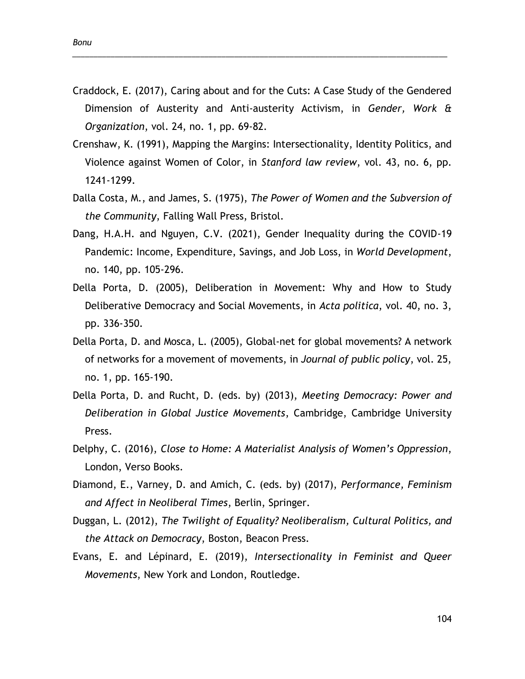Craddock, E. (2017), Caring about and for the Cuts: A Case Study of the Gendered Dimension of Austerity and Anti-austerity Activism, in *Gender, Work & Organization*, vol. 24, no. 1, pp. 69-82.

\_\_\_\_\_\_\_\_\_\_\_\_\_\_\_\_\_\_\_\_\_\_\_\_\_\_\_\_\_\_\_\_\_\_\_\_\_\_\_\_\_\_\_\_\_\_\_\_\_\_\_\_\_\_\_\_\_\_\_\_\_\_\_\_\_\_\_\_\_\_\_\_\_\_\_\_\_\_\_\_\_\_\_\_\_\_\_\_

- Crenshaw, K. (1991), Mapping the Margins: Intersectionality, Identity Politics, and Violence against Women of Color, in *Stanford law review*, vol. 43, no. 6, pp. 1241-1299.
- Dalla Costa, M., and James, S. (1975), *The Power of Women and the Subversion of the Community*, Falling Wall Press, Bristol.
- Dang, H.A.H. and Nguyen, C.V. (2021), Gender Inequality during the COVID-19 Pandemic: Income, Expenditure, Savings, and Job Loss, in *World Development*, no. 140, pp. 105-296.
- Della Porta, D. (2005), Deliberation in Movement: Why and How to Study Deliberative Democracy and Social Movements, in *Acta politica*, vol. 40, no. 3, pp. 336-350.
- Della Porta, D. and Mosca, L. (2005), Global-net for global movements? A network of networks for a movement of movements, in *Journal of public policy*, vol. 25, no. 1, pp. 165-190.
- Della Porta, D. and Rucht, D. (eds. by) (2013), *Meeting Democracy: Power and Deliberation in Global Justice Movements*, Cambridge, Cambridge University Press.
- Delphy, C. (2016), *Close to Home: A Materialist Analysis of Women's Oppression*, London, Verso Books.
- Diamond, E., Varney, D. and Amich, C. (eds. by) (2017), *Performance, Feminism and Affect in Neoliberal Times*, Berlin, Springer.
- Duggan, L. (2012), *The Twilight of Equality? Neoliberalism, Cultural Politics, and the Attack on Democracy*, Boston, Beacon Press.
- Evans, E. and Lépinard, E. (2019), *Intersectionality in Feminist and Queer Movements*, New York and London, Routledge.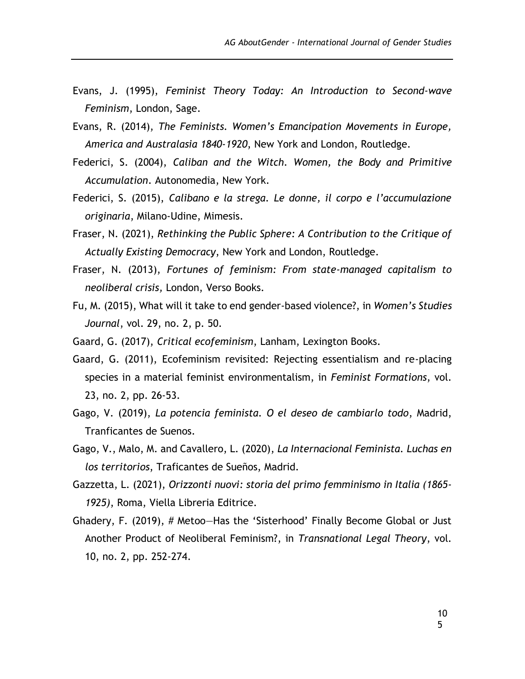- Evans, J. (1995), *Feminist Theory Today: An Introduction to Second-wave Feminism*, London, Sage.
- Evans, R. (2014), *The Feminists. Women's Emancipation Movements in Europe, America and Australasia 1840-1920*, New York and London, Routledge.
- Federici, S. (2004), *Caliban and the Witch. Women, the Body and Primitive Accumulation*. Autonomedia, New York.
- Federici, S. (2015), *Calibano e la strega. Le donne, il corpo e l'accumulazione originaria*, Milano-Udine, Mimesis.
- Fraser, N. (2021), *Rethinking the Public Sphere: A Contribution to the Critique of Actually Existing Democracy*, New York and London, Routledge.
- Fraser, N. (2013), *Fortunes of feminism: From state-managed capitalism to neoliberal crisis,* London, Verso Books.
- Fu, M. (2015), What will it take to end gender-based violence?, in *Women's Studies Journal*, vol. 29, no. 2, p. 50.
- Gaard, G. (2017), *Critical ecofeminism*, Lanham, Lexington Books.
- Gaard, G. (2011), Ecofeminism revisited: Rejecting essentialism and re-placing species in a material feminist environmentalism, in *Feminist Formations*, vol. 23, no. 2, pp. 26-53.
- Gago, V. (2019), *La potencia feminista. O el deseo de cambiarlo todo*, Madrid, Tranficantes de Suenos.
- Gago, V., Malo, M. and Cavallero, L. (2020), *La Internacional Feminista. Luchas en los territorios*, Traficantes de Sueños, Madrid.
- Gazzetta, L. (2021), *Orizzonti nuovi: storia del primo femminismo in Italia (1865- 1925)*, Roma, Viella Libreria Editrice.
- Ghadery, F. (2019), # Metoo—Has the 'Sisterhood' Finally Become Global or Just Another Product of Neoliberal Feminism?, in *Transnational Legal Theory*, vol. 10, no. 2, pp. 252-274.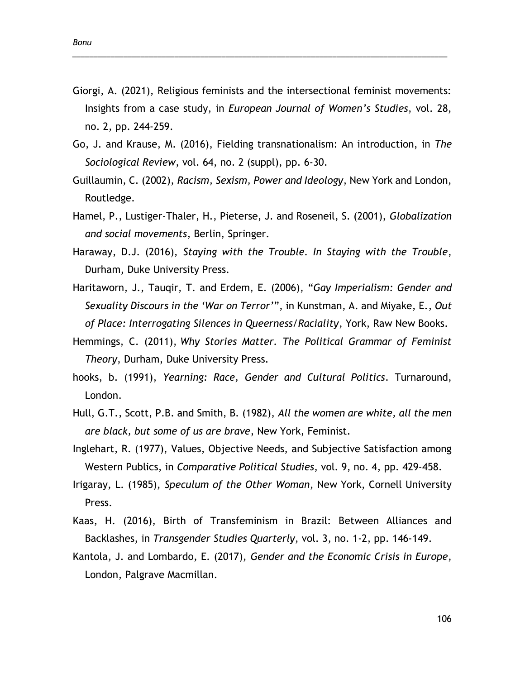Giorgi, A. (2021), Religious feminists and the intersectional feminist movements: Insights from a case study, in *European Journal of Women's Studies*, vol. 28, no. 2, pp. 244-259.

\_\_\_\_\_\_\_\_\_\_\_\_\_\_\_\_\_\_\_\_\_\_\_\_\_\_\_\_\_\_\_\_\_\_\_\_\_\_\_\_\_\_\_\_\_\_\_\_\_\_\_\_\_\_\_\_\_\_\_\_\_\_\_\_\_\_\_\_\_\_\_\_\_\_\_\_\_\_\_\_\_\_\_\_\_\_\_\_

- Go, J. and Krause, M. (2016), Fielding transnationalism: An introduction, in *The Sociological Review*, vol. 64, no. 2 (suppl), pp. 6-30.
- Guillaumin, C. (2002), *Racism, Sexism, Power and Ideology*, New York and London, Routledge.
- Hamel, P., Lustiger-Thaler, H., Pieterse, J. and Roseneil, S. (2001), *Globalization and social movements*, Berlin, Springer.
- Haraway, D.J. (2016), *Staying with the Trouble. In Staying with the Trouble*, Durham, Duke University Press.
- Haritaworn, J., Tauqir, T. and Erdem, E. (2006), "*Gay Imperialism: Gender and Sexuality Discours in the 'War on Terror'*", in Kunstman, A. and Miyake, E., *Out of Place: Interrogating Silences in Queerness/Raciality*, York, Raw New Books.
- Hemmings, C. (2011), *Why Stories Matter. The Political Grammar of Feminist Theory*, Durham, Duke University Press.
- hooks, b. (1991), *Yearning: Race, Gender and Cultural Politics*. Turnaround, London.
- Hull, G.T., Scott, P.B. and Smith, B. (1982), *All the women are white, all the men are black, but some of us are brave*, New York, Feminist.
- Inglehart, R. (1977), Values, Objective Needs, and Subjective Satisfaction among Western Publics, in *Comparative Political Studies*, vol. 9, no. 4, pp. 429-458.
- Irigaray, L. (1985), *Speculum of the Other Woman*, New York, Cornell University Press.
- Kaas, H. (2016), Birth of Transfeminism in Brazil: Between Alliances and Backlashes, in *Transgender Studies Quarterly*, vol. 3, no. 1-2, pp. 146-149.
- Kantola, J. and Lombardo, E. (2017), *Gender and the Economic Crisis in Europe*, London, Palgrave Macmillan.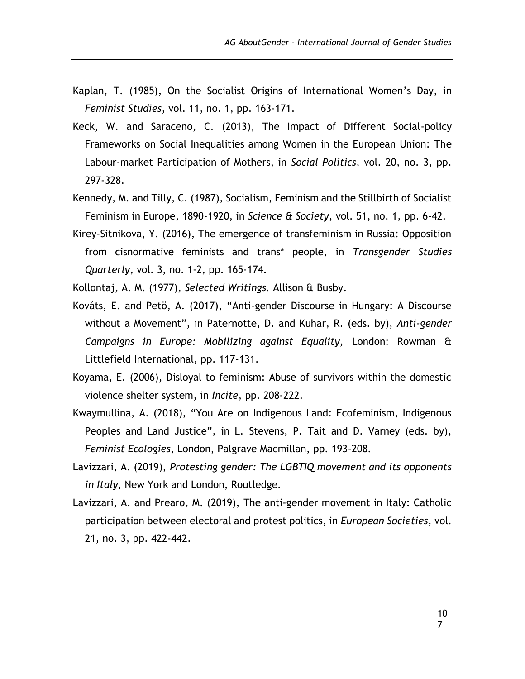- Kaplan, T. (1985), On the Socialist Origins of International Women's Day, in *Feminist Studies*, vol. 11, no. 1, pp. 163-171.
- Keck, W. and Saraceno, C. (2013), The Impact of Different Social-policy Frameworks on Social Inequalities among Women in the European Union: The Labour-market Participation of Mothers, in *Social Politics*, vol. 20, no. 3, pp. 297-328.
- Kennedy, M. and Tilly, C. (1987), Socialism, Feminism and the Stillbirth of Socialist Feminism in Europe, 1890-1920, in *Science & Society*, vol. 51, no. 1, pp. 6-42.
- Kirey-Sitnikova, Y. (2016), The emergence of transfeminism in Russia: Opposition from cisnormative feminists and trans\* people, in *Transgender Studies Quarterly*, vol. 3, no. 1-2, pp. 165-174.
- Kollontaj, A. M. (1977), *Selected Writings.* Allison & Busby.
- Kováts, E. and Petö, A. (2017), "Anti-gender Discourse in Hungary: A Discourse without a Movement", in Paternotte, D. and Kuhar, R. (eds. by), *Anti-gender Campaigns in Europe: Mobilizing against Equality,* London: Rowman & Littlefield International, pp. 117-131.
- Koyama, E. (2006), Disloyal to feminism: Abuse of survivors within the domestic violence shelter system, in *Incite*, pp. 208-222.
- Kwaymullina, A. (2018), "You Are on Indigenous Land: Ecofeminism, Indigenous Peoples and Land Justice", in L. Stevens, P. Tait and D. Varney (eds. by), *Feminist Ecologies*, London, Palgrave Macmillan, pp. 193-208.
- Lavizzari, A. (2019), *Protesting gender: The LGBTIQ movement and its opponents in Italy*, New York and London, Routledge.
- Lavizzari, A. and Prearo, M. (2019), The anti-gender movement in Italy: Catholic participation between electoral and protest politics, in *European Societies*, vol. 21, no. 3, pp. 422-442.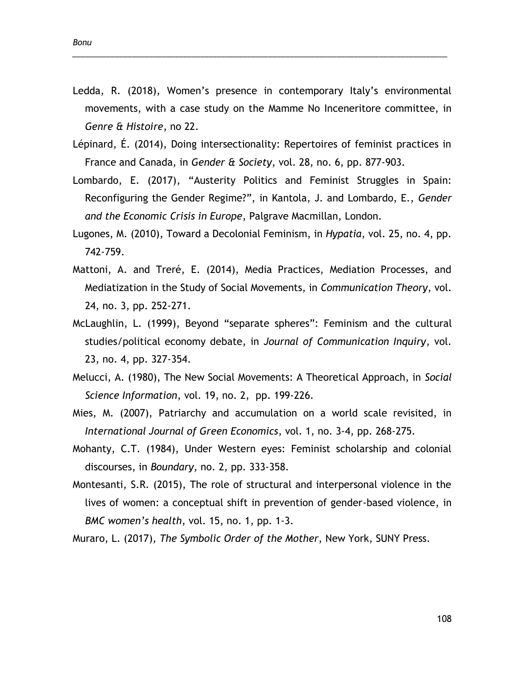Ledda, R. (2018), Women's presence in contemporary Italy's environmental movements, with a case study on the Mamme No Inceneritore committee, in *Genre & Histoire*, no 22.

\_\_\_\_\_\_\_\_\_\_\_\_\_\_\_\_\_\_\_\_\_\_\_\_\_\_\_\_\_\_\_\_\_\_\_\_\_\_\_\_\_\_\_\_\_\_\_\_\_\_\_\_\_\_\_\_\_\_\_\_\_\_\_\_\_\_\_\_\_\_\_\_\_\_\_\_\_\_\_\_\_\_\_\_\_\_\_\_

- Lépinard, É. (2014), Doing intersectionality: Repertoires of feminist practices in France and Canada, in *Gender & Society*, vol. 28, no. 6, pp. 877-903.
- Lombardo, E. (2017), "Austerity Politics and Feminist Struggles in Spain: Reconfiguring the Gender Regime?", in Kantola, J. and Lombardo, E., *Gender and the Economic Crisis in Europe*, Palgrave Macmillan, London.
- Lugones, M. (2010), Toward a Decolonial Feminism, in *Hypatia*, vol. 25, no. 4, pp. 742-759.
- Mattoni, A. and Treré, E. (2014), Media Practices, Mediation Processes, and Mediatization in the Study of Social Movements, in *Communication Theory*, vol. 24, no. 3, pp. 252-271.
- McLaughlin, L. (1999), Beyond "separate spheres": Feminism and the cultural studies/political economy debate, in *Journal of Communication Inquiry*, vol. 23, no. 4, pp. 327-354.
- Melucci, A. (1980), The New Social Movements: A Theoretical Approach, in *Social Science Information*, vol. 19, no. 2, pp. 199-226.
- Mies, M. (2007), Patriarchy and accumulation on a world scale revisited, in *International Journal of Green Economics*, vol. 1, no. 3-4, pp. 268-275.
- Mohanty, C.T. (1984), Under Western eyes: Feminist scholarship and colonial discourses, in *Boundary*, no. 2, pp. 333-358.
- Montesanti, S.R. (2015), The role of structural and interpersonal violence in the lives of women: a conceptual shift in prevention of gender-based violence, in *BMC women's health*, vol. 15, no. 1, pp. 1-3.

Muraro, L. (2017), *The Symbolic Order of the Mother*, New York, SUNY Press.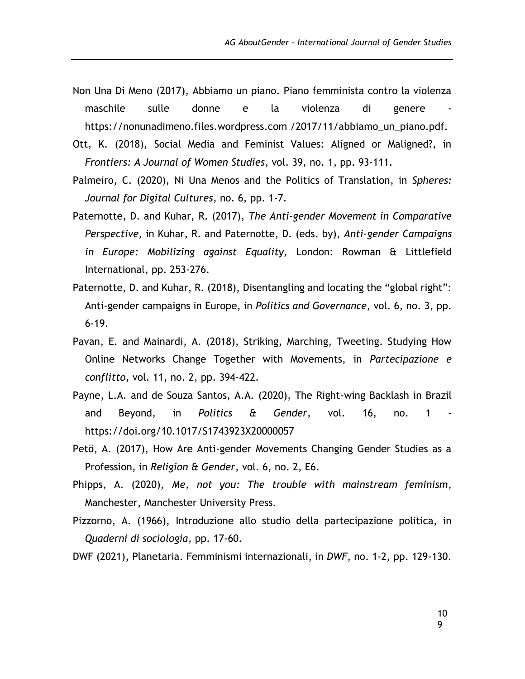- Non Una Di Meno (2017), Abbiamo un piano. Piano femminista contro la violenza maschile sulle donne e la violenza di genere [https://nonunadimeno.files.wordpress.com](https://nonunadimeno.files.wordpress.com/) /2017/11/abbiamo\_un\_piano.pdf.
- Ott, K. (2018), Social Media and Feminist Values: Aligned or Maligned?, in *Frontiers: A Journal of Women Studies*, vol. 39, no. 1, pp. 93-111.
- Palmeiro, C. (2020), Ni Una Menos and the Politics of Translation, in *Spheres: Journal for Digital Cultures*, no. 6, pp. 1-7.
- Paternotte, D. and Kuhar, R. (2017), *The Anti-gender Movement in Comparative Perspective,* in Kuhar, R. and Paternotte, D. (eds. by), *Anti-gender Campaigns in Europe: Mobilizing against Equality,* London: Rowman & Littlefield International, pp. 253-276.
- Paternotte, D. and Kuhar, R. (2018), Disentangling and locating the "global right": Anti-gender campaigns in Europe, in *Politics and Governance*, vol. 6, no. 3, pp. 6-19.
- Pavan, E. and Mainardi, A. (2018), Striking, Marching, Tweeting. Studying How Online Networks Change Together with Movements, in *Partecipazione e conflitto*, vol. 11, no. 2, pp. 394-422.
- Payne, L.A. and de Souza Santos, A.A. (2020), The Right-wing Backlash in Brazil and Beyond, in *Politics & Gender*, vol. 16, no. 1 https://doi.org/10.1017/S1743923X20000057
- Petö, A. (2017), How Are Anti-gender Movements Changing Gender Studies as a Profession, in *Religion & Gender*, vol. 6, no. 2, E6.
- Phipps, A. (2020), *Me, not you: The trouble with mainstream feminism*, Manchester, Manchester University Press.
- Pizzorno, A. (1966), Introduzione allo studio della partecipazione politica, in *Quaderni di sociologia*, pp. 17-60.
- DWF (2021), Planetaria. Femminismi internazionali, in *DWF*, no. 1-2, pp. 129-130.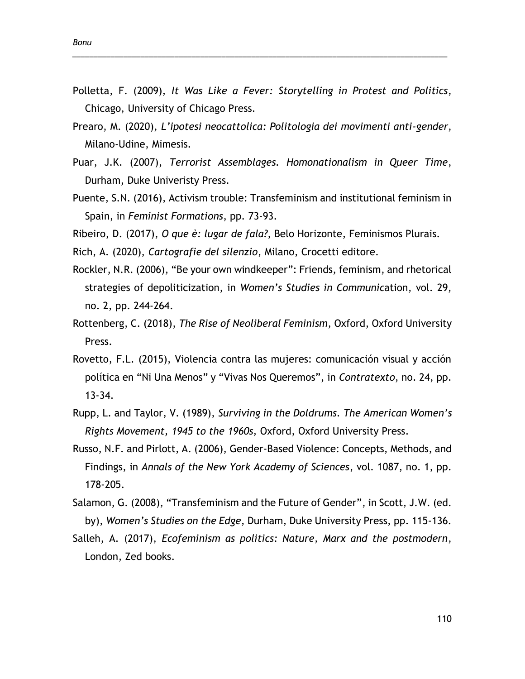Polletta, F. (2009), *It Was Like a Fever: Storytelling in Protest and Politics*, Chicago, University of Chicago Press.

\_\_\_\_\_\_\_\_\_\_\_\_\_\_\_\_\_\_\_\_\_\_\_\_\_\_\_\_\_\_\_\_\_\_\_\_\_\_\_\_\_\_\_\_\_\_\_\_\_\_\_\_\_\_\_\_\_\_\_\_\_\_\_\_\_\_\_\_\_\_\_\_\_\_\_\_\_\_\_\_\_\_\_\_\_\_\_\_

- Prearo, M. (2020), *L'ipotesi neocattolica: Politologia dei movimenti anti-gender*, Milano-Udine, Mimesis.
- Puar, J.K. (2007), *Terrorist Assemblages. Homonationalism in Queer Time*, Durham, Duke Univeristy Press.
- Puente, S.N. (2016), Activism trouble: Transfeminism and institutional feminism in Spain, in *Feminist Formations*, pp. 73-93.
- Ribeiro, D. (2017), *O que è: lugar de fala?*, Belo Horizonte, Feminismos Plurais.
- Rich, A. (2020), *Cartografie del silenzio*, Milano, Crocetti editore.
- Rockler, N.R. (2006), "Be your own windkeeper": Friends, feminism, and rhetorical strategies of depoliticization, in *Women's Studies in Communic*ation, vol. 29, no. 2, pp. 244-264.
- Rottenberg, C. (2018), *The Rise of Neoliberal Feminism*, Oxford, Oxford University Press.
- Rovetto, F.L. (2015), Violencia contra las mujeres: comunicación visual y acción política en "Ni Una Menos" y "Vivas Nos Queremos", in *Contratexto*, no. 24, pp. 13-34.
- Rupp, L. and Taylor, V. (1989), *Surviving in the Doldrums. The American Women's Rights Movement, 1945 to the 1960s,* Oxford, Oxford University Press.
- Russo, N.F. and Pirlott, A. (2006), Gender-Based Violence: Concepts, Methods, and Findings, in *Annals of the New York Academy of Sciences*, vol. 1087, no. 1, pp. 178-205.
- Salamon, G. (2008), "Transfeminism and the Future of Gender", in Scott, J.W. (ed. by), *Women's Studies on the Edge*, Durham, Duke University Press, pp. 115-136.
- Salleh, A. (2017), *Ecofeminism as politics: Nature, Marx and the postmodern*, London, Zed books.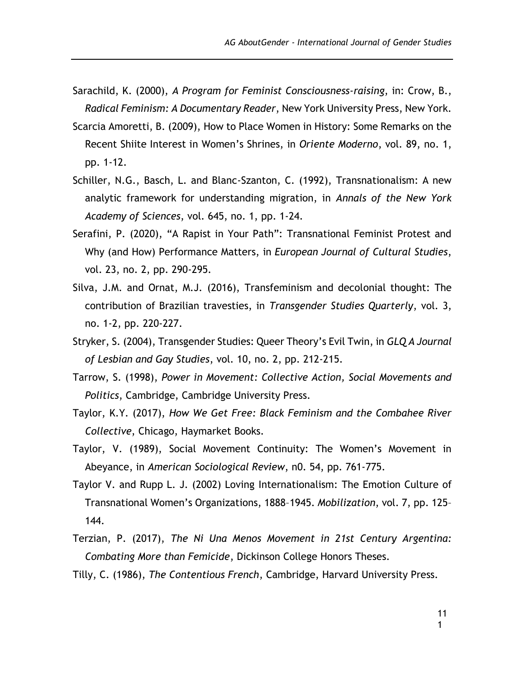- Sarachild, K. (2000), *A Program for Feminist Consciousness-raising*, in: Crow, B., *Radical Feminism: A Documentary Reader*, New York University Press, New York.
- Scarcia Amoretti, B. (2009), How to Place Women in History: Some Remarks on the Recent Shiite Interest in Women's Shrines, in *Oriente Moderno*, vol. 89, no. 1, pp. 1-12.
- Schiller, N.G., Basch, L. and Blanc-Szanton, C. (1992), Transnationalism: A new analytic framework for understanding migration, in *Annals of the New York Academy of Sciences*, vol. 645, no. 1, pp. 1-24.
- Serafini, P. (2020), "A Rapist in Your Path": Transnational Feminist Protest and Why (and How) Performance Matters, in *European Journal of Cultural Studies*, vol. 23, no. 2, pp. 290-295.
- Silva, J.M. and Ornat, M.J. (2016), Transfeminism and decolonial thought: The contribution of Brazilian travesties, in *Transgender Studies Quarterly*, vol. 3, no. 1-2, pp. 220-227.
- Stryker, S. (2004), Transgender Studies: Queer Theory's Evil Twin, in *GLQ A Journal of Lesbian and Gay Studies*, vol. 10, no. 2, pp. 212-215.
- Tarrow, S. (1998), *Power in Movement: Collective Action, Social Movements and Politics*, Cambridge, Cambridge University Press.
- Taylor, K.Y. (2017), *How We Get Free: Black Feminism and the Combahee River Collective*, Chicago, Haymarket Books.
- Taylor, V. (1989), Social Movement Continuity: The Women's Movement in Abeyance, in *American Sociological Review*, n0. 54, pp. 761-775.
- Taylor V. and Rupp L. J. (2002) Loving Internationalism: The Emotion Culture of Transnational Women's Organizations, 1888–1945. *Mobilization*, vol. 7, pp. 125– 144.
- Terzian, P. (2017), *The Ni Una Menos Movement in 21st Century Argentina: Combating More than Femicide*, Dickinson College Honors Theses.
- Tilly, C. (1986), *The Contentious French*, Cambridge, Harvard University Press.